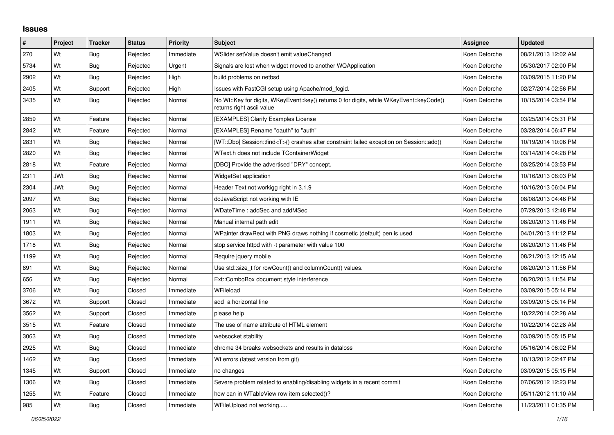## **Issues**

| $\vert$ # | Project    | <b>Tracker</b> | <b>Status</b> | Priority  | <b>Subject</b>                                                                                                        | <b>Assignee</b> | <b>Updated</b>      |
|-----------|------------|----------------|---------------|-----------|-----------------------------------------------------------------------------------------------------------------------|-----------------|---------------------|
| 270       | Wt         | Bug            | Rejected      | Immediate | WSlider setValue doesn't emit valueChanged                                                                            | Koen Deforche   | 08/21/2013 12:02 AM |
| 5734      | Wt         | <b>Bug</b>     | Rejected      | Urgent    | Signals are lost when widget moved to another WQApplication                                                           | Koen Deforche   | 05/30/2017 02:00 PM |
| 2902      | Wt         | Bug            | Rejected      | High      | build problems on netbsd                                                                                              | Koen Deforche   | 03/09/2015 11:20 PM |
| 2405      | Wt         | Support        | Rejected      | High      | Issues with FastCGI setup using Apache/mod fcgid.                                                                     | Koen Deforche   | 02/27/2014 02:56 PM |
| 3435      | Wt         | <b>Bug</b>     | Rejected      | Normal    | No Wt::Key for digits, WKeyEvent::key() returns 0 for digits, while WKeyEvent::keyCode()<br>returns right ascii value | Koen Deforche   | 10/15/2014 03:54 PM |
| 2859      | Wt         | Feature        | Rejected      | Normal    | [EXAMPLES] Clarify Examples License                                                                                   | Koen Deforche   | 03/25/2014 05:31 PM |
| 2842      | Wt         | Feature        | Rejected      | Normal    | [EXAMPLES] Rename "oauth" to "auth"                                                                                   | Koen Deforche   | 03/28/2014 06:47 PM |
| 2831      | Wt         | Bug            | Rejected      | Normal    | [WT::Dbo] Session::find <t>() crashes after constraint failed exception on Session::add()</t>                         | Koen Deforche   | 10/19/2014 10:06 PM |
| 2820      | Wt         | Bug            | Rejected      | Normal    | WText.h does not include TContainerWidget                                                                             | Koen Deforche   | 03/14/2014 04:28 PM |
| 2818      | Wt         | Feature        | Rejected      | Normal    | [DBO] Provide the advertised "DRY" concept.                                                                           | Koen Deforche   | 03/25/2014 03:53 PM |
| 2311      | <b>JWt</b> | Bug            | Rejected      | Normal    | WidgetSet application                                                                                                 | Koen Deforche   | 10/16/2013 06:03 PM |
| 2304      | <b>JWt</b> | <b>Bug</b>     | Rejected      | Normal    | Header Text not workigg right in 3.1.9                                                                                | Koen Deforche   | 10/16/2013 06:04 PM |
| 2097      | Wt         | Bug            | Rejected      | Normal    | doJavaScript not working with IE                                                                                      | Koen Deforche   | 08/08/2013 04:46 PM |
| 2063      | Wt         | <b>Bug</b>     | Rejected      | Normal    | WDateTime: addSec and addMSec                                                                                         | Koen Deforche   | 07/29/2013 12:48 PM |
| 1911      | Wt         | Bug            | Rejected      | Normal    | Manual internal path edit                                                                                             | Koen Deforche   | 08/20/2013 11:46 PM |
| 1803      | Wt         | <b>Bug</b>     | Rejected      | Normal    | WPainter.drawRect with PNG draws nothing if cosmetic (default) pen is used                                            | Koen Deforche   | 04/01/2013 11:12 PM |
| 1718      | Wt         | Bug            | Rejected      | Normal    | stop service httpd with -t parameter with value 100                                                                   | Koen Deforche   | 08/20/2013 11:46 PM |
| 1199      | Wt         | Bug            | Rejected      | Normal    | Require jquery mobile                                                                                                 | Koen Deforche   | 08/21/2013 12:15 AM |
| 891       | Wt         | Bug            | Rejected      | Normal    | Use std::size_t for rowCount() and columnCount() values.                                                              | Koen Deforche   | 08/20/2013 11:56 PM |
| 656       | Wt         | <b>Bug</b>     | Rejected      | Normal    | Ext::ComboBox document style interference                                                                             | Koen Deforche   | 08/20/2013 11:54 PM |
| 3706      | Wt         | Bug            | Closed        | Immediate | WFileload                                                                                                             | Koen Deforche   | 03/09/2015 05:14 PM |
| 3672      | Wt         | Support        | Closed        | Immediate | add a horizontal line                                                                                                 | Koen Deforche   | 03/09/2015 05:14 PM |
| 3562      | Wt         | Support        | Closed        | Immediate | please help                                                                                                           | Koen Deforche   | 10/22/2014 02:28 AM |
| 3515      | Wt         | Feature        | Closed        | Immediate | The use of name attribute of HTML element                                                                             | Koen Deforche   | 10/22/2014 02:28 AM |
| 3063      | Wt         | Bug            | Closed        | Immediate | websocket stability                                                                                                   | Koen Deforche   | 03/09/2015 05:15 PM |
| 2925      | Wt         | Bug            | Closed        | Immediate | chrome 34 breaks websockets and results in dataloss                                                                   | Koen Deforche   | 05/16/2014 06:02 PM |
| 1462      | Wt         | Bug            | Closed        | Immediate | Wt errors (latest version from git)                                                                                   | Koen Deforche   | 10/13/2012 02:47 PM |
| 1345      | Wt         | Support        | Closed        | Immediate | no changes                                                                                                            | Koen Deforche   | 03/09/2015 05:15 PM |
| 1306      | Wt         | Bug            | Closed        | Immediate | Severe problem related to enabling/disabling widgets in a recent commit                                               | Koen Deforche   | 07/06/2012 12:23 PM |
| 1255      | Wt         | Feature        | Closed        | Immediate | how can in WTableView row item selected()?                                                                            | Koen Deforche   | 05/11/2012 11:10 AM |
| 985       | Wt         | <b>Bug</b>     | Closed        | Immediate | WFileUpload not working                                                                                               | Koen Deforche   | 11/23/2011 01:35 PM |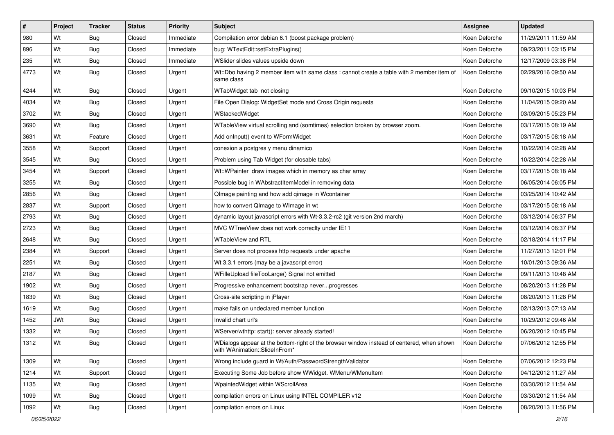| $\pmb{\#}$ | Project    | Tracker    | <b>Status</b> | <b>Priority</b> | <b>Subject</b>                                                                                                             | <b>Assignee</b> | <b>Updated</b>      |
|------------|------------|------------|---------------|-----------------|----------------------------------------------------------------------------------------------------------------------------|-----------------|---------------------|
| 980        | Wt         | Bug        | Closed        | Immediate       | Compilation error debian 6.1 (boost package problem)                                                                       | Koen Deforche   | 11/29/2011 11:59 AM |
| 896        | Wt         | Bug        | Closed        | Immediate       | bug: WTextEdit::setExtraPlugins()                                                                                          | Koen Deforche   | 09/23/2011 03:15 PM |
| 235        | Wt         | Bug        | Closed        | Immediate       | WSlider slides values upside down                                                                                          | Koen Deforche   | 12/17/2009 03:38 PM |
| 4773       | Wt         | Bug        | Closed        | Urgent          | Wt::Dbo having 2 member item with same class : cannot create a table with 2 member item of<br>same class                   | Koen Deforche   | 02/29/2016 09:50 AM |
| 4244       | Wt         | <b>Bug</b> | Closed        | Urgent          | WTabWidget tab not closing                                                                                                 | Koen Deforche   | 09/10/2015 10:03 PM |
| 4034       | Wt         | Bug        | Closed        | Urgent          | File Open Dialog: WidgetSet mode and Cross Origin requests                                                                 | Koen Deforche   | 11/04/2015 09:20 AM |
| 3702       | Wt         | Bug        | Closed        | Urgent          | WStackedWidget                                                                                                             | Koen Deforche   | 03/09/2015 05:23 PM |
| 3690       | Wt         | Bug        | Closed        | Urgent          | WTableView virtual scrolling and (somtimes) selection broken by browser zoom.                                              | Koen Deforche   | 03/17/2015 08:19 AM |
| 3631       | Wt         | Feature    | Closed        | Urgent          | Add onInput() event to WFormWidget                                                                                         | Koen Deforche   | 03/17/2015 08:18 AM |
| 3558       | Wt         | Support    | Closed        | Urgent          | conexion a postgres y menu dinamico                                                                                        | Koen Deforche   | 10/22/2014 02:28 AM |
| 3545       | Wt         | <b>Bug</b> | Closed        | Urgent          | Problem using Tab Widget (for closable tabs)                                                                               | Koen Deforche   | 10/22/2014 02:28 AM |
| 3454       | Wt         | Support    | Closed        | Urgent          | Wt::WPainter draw images which in memory as char array                                                                     | Koen Deforche   | 03/17/2015 08:18 AM |
| 3255       | Wt         | <b>Bug</b> | Closed        | Urgent          | Possible bug in WAbstractItemModel in removing data                                                                        | Koen Deforche   | 06/05/2014 06:05 PM |
| 2856       | Wt         | Bug        | Closed        | Urgent          | QImage painting and how add qimage in Wcontainer                                                                           | Koen Deforche   | 03/25/2014 10:42 AM |
| 2837       | Wt         | Support    | Closed        | Urgent          | how to convert QImage to WImage in wt                                                                                      | Koen Deforche   | 03/17/2015 08:18 AM |
| 2793       | Wt         | <b>Bug</b> | Closed        | Urgent          | dynamic layout javascript errors with Wt-3.3.2-rc2 (git version 2nd march)                                                 | Koen Deforche   | 03/12/2014 06:37 PM |
| 2723       | Wt         | Bug        | Closed        | Urgent          | MVC WTreeView does not work correcity under IE11                                                                           | Koen Deforche   | 03/12/2014 06:37 PM |
| 2648       | Wt         | Bug        | Closed        | Urgent          | <b>WTableView and RTL</b>                                                                                                  | Koen Deforche   | 02/18/2014 11:17 PM |
| 2384       | Wt         | Support    | Closed        | Urgent          | Server does not process http requests under apache                                                                         | Koen Deforche   | 11/27/2013 12:01 PM |
| 2251       | Wt         | Bug        | Closed        | Urgent          | Wt 3.3.1 errors (may be a javascript error)                                                                                | Koen Deforche   | 10/01/2013 09:36 AM |
| 2187       | Wt         | Bug        | Closed        | Urgent          | WFilleUpload fileTooLarge() Signal not emitted                                                                             | Koen Deforche   | 09/11/2013 10:48 AM |
| 1902       | Wt         | <b>Bug</b> | Closed        | Urgent          | Progressive enhancement bootstrap neverprogresses                                                                          | Koen Deforche   | 08/20/2013 11:28 PM |
| 1839       | Wt         | <b>Bug</b> | Closed        | Urgent          | Cross-site scripting in jPlayer                                                                                            | Koen Deforche   | 08/20/2013 11:28 PM |
| 1619       | Wt         | <b>Bug</b> | Closed        | Urgent          | make fails on undeclared member function                                                                                   | Koen Deforche   | 02/13/2013 07:13 AM |
| 1452       | <b>JWt</b> | Bug        | Closed        | Urgent          | Invalid chart url's                                                                                                        | Koen Deforche   | 10/29/2012 09:46 AM |
| 1332       | Wt         | <b>Bug</b> | Closed        | Urgent          | WServer/wthttp: start(): server already started!                                                                           | Koen Deforche   | 06/20/2012 10:45 PM |
| 1312       | Wt         | <b>Bug</b> | Closed        | Urgent          | WDialogs appear at the bottom-right of the browser window instead of centered, when shown<br>with WAnimation::SlideInFrom* | Koen Deforche   | 07/06/2012 12:55 PM |
| 1309       | Wt         | <b>Bug</b> | Closed        | Urgent          | Wrong include guard in Wt/Auth/PasswordStrengthValidator                                                                   | Koen Deforche   | 07/06/2012 12:23 PM |
| 1214       | Wt         | Support    | Closed        | Urgent          | Executing Some Job before show WWidget. WMenu/WMenuItem                                                                    | Koen Deforche   | 04/12/2012 11:27 AM |
| 1135       | Wt         | <b>Bug</b> | Closed        | Urgent          | WpaintedWidget within WScrollArea                                                                                          | Koen Deforche   | 03/30/2012 11:54 AM |
| 1099       | Wt         | Bug        | Closed        | Urgent          | compilation errors on Linux using INTEL COMPILER v12                                                                       | Koen Deforche   | 03/30/2012 11:54 AM |
| 1092       | Wt         | Bug        | Closed        | Urgent          | compilation errors on Linux                                                                                                | Koen Deforche   | 08/20/2013 11:56 PM |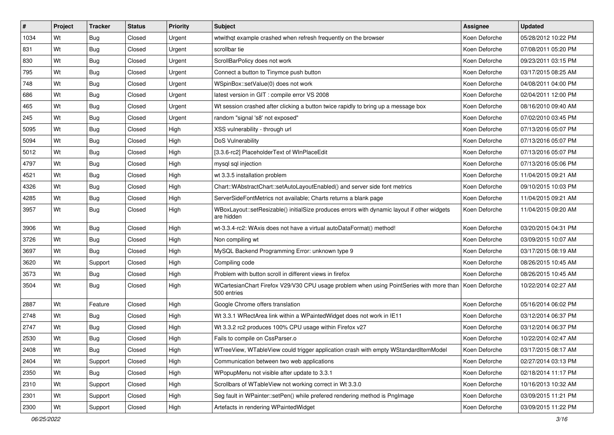| $\sharp$ | Project | <b>Tracker</b> | <b>Status</b> | <b>Priority</b> | Subject                                                                                                              | <b>Assignee</b> | <b>Updated</b>      |
|----------|---------|----------------|---------------|-----------------|----------------------------------------------------------------------------------------------------------------------|-----------------|---------------------|
| 1034     | Wt      | Bug            | Closed        | Urgent          | wtwithqt example crashed when refresh frequently on the browser                                                      | Koen Deforche   | 05/28/2012 10:22 PM |
| 831      | Wt      | Bug            | Closed        | Urgent          | scrollbar tie                                                                                                        | Koen Deforche   | 07/08/2011 05:20 PM |
| 830      | Wt      | Bug            | Closed        | Urgent          | ScrollBarPolicy does not work                                                                                        | Koen Deforche   | 09/23/2011 03:15 PM |
| 795      | Wt      | <b>Bug</b>     | Closed        | Urgent          | Connect a button to Tinymce push button                                                                              | Koen Deforche   | 03/17/2015 08:25 AM |
| 748      | Wt      | <b>Bug</b>     | Closed        | Urgent          | WSpinBox::setValue(0) does not work                                                                                  | Koen Deforche   | 04/08/2011 04:00 PM |
| 686      | Wt      | <b>Bug</b>     | Closed        | Urgent          | latest version in GIT : compile error VS 2008                                                                        | Koen Deforche   | 02/04/2011 12:00 PM |
| 465      | Wt      | <b>Bug</b>     | Closed        | Urgent          | Wt session crashed after clicking a button twice rapidly to bring up a message box                                   | Koen Deforche   | 08/16/2010 09:40 AM |
| 245      | Wt      | <b>Bug</b>     | Closed        | Urgent          | random "signal 's8' not exposed"                                                                                     | Koen Deforche   | 07/02/2010 03:45 PM |
| 5095     | Wt      | Bug            | Closed        | High            | XSS vulnerability - through url                                                                                      | Koen Deforche   | 07/13/2016 05:07 PM |
| 5094     | Wt      | <b>Bug</b>     | Closed        | High            | DoS Vulnerability                                                                                                    | Koen Deforche   | 07/13/2016 05:07 PM |
| 5012     | Wt      | Bug            | Closed        | High            | [3.3.6-rc2] PlaceholderText of WInPlaceEdit                                                                          | Koen Deforche   | 07/13/2016 05:07 PM |
| 4797     | Wt      | <b>Bug</b>     | Closed        | High            | mysql sql injection                                                                                                  | Koen Deforche   | 07/13/2016 05:06 PM |
| 4521     | Wt      | <b>Bug</b>     | Closed        | High            | wt 3.3.5 installation problem                                                                                        | Koen Deforche   | 11/04/2015 09:21 AM |
| 4326     | Wt      | <b>Bug</b>     | Closed        | High            | Chart::WAbstractChart::setAutoLayoutEnabled() and server side font metrics                                           | Koen Deforche   | 09/10/2015 10:03 PM |
| 4285     | Wt      | <b>Bug</b>     | Closed        | High            | ServerSideFontMetrics not available; Charts returns a blank page                                                     | Koen Deforche   | 11/04/2015 09:21 AM |
| 3957     | Wt      | Bug            | Closed        | High            | WBoxLayout::setResizable() initialSize produces errors with dynamic layout if other widgets<br>are hidden            | Koen Deforche   | 11/04/2015 09:20 AM |
| 3906     | Wt      | <b>Bug</b>     | Closed        | High            | wt-3.3.4-rc2: WAxis does not have a virtual autoDataFormat() method!                                                 | Koen Deforche   | 03/20/2015 04:31 PM |
| 3726     | Wt      | <b>Bug</b>     | Closed        | High            | Non compiling wt                                                                                                     | Koen Deforche   | 03/09/2015 10:07 AM |
| 3697     | Wt      | <b>Bug</b>     | Closed        | High            | MySQL Backend Programming Error: unknown type 9                                                                      | Koen Deforche   | 03/17/2015 08:19 AM |
| 3620     | Wt      | Support        | Closed        | High            | Compiling code                                                                                                       | Koen Deforche   | 08/26/2015 10:45 AM |
| 3573     | Wt      | Bug            | Closed        | High            | Problem with button scroll in different views in firefox                                                             | Koen Deforche   | 08/26/2015 10:45 AM |
| 3504     | Wt      | Bug            | Closed        | High            | WCartesianChart Firefox V29/V30 CPU usage problem when using PointSeries with more than Koen Deforche<br>500 entries |                 | 10/22/2014 02:27 AM |
| 2887     | Wt      | Feature        | Closed        | High            | Google Chrome offers translation                                                                                     | Koen Deforche   | 05/16/2014 06:02 PM |
| 2748     | Wt      | Bug            | Closed        | High            | Wt 3.3.1 WRectArea link within a WPaintedWidget does not work in IE11                                                | Koen Deforche   | 03/12/2014 06:37 PM |
| 2747     | Wt      | Bug            | Closed        | High            | Wt 3.3.2 rc2 produces 100% CPU usage within Firefox v27                                                              | Koen Deforche   | 03/12/2014 06:37 PM |
| 2530     | Wt      | <b>Bug</b>     | Closed        | High            | Fails to compile on CssParser.o                                                                                      | Koen Deforche   | 10/22/2014 02:47 AM |
| 2408     | Wt      | <b>Bug</b>     | Closed        | High            | WTreeView, WTableView could trigger application crash with empty WStandardItemModel                                  | Koen Deforche   | 03/17/2015 08:17 AM |
| 2404     | Wt      | Support        | Closed        | High            | Communication between two web applications                                                                           | Koen Deforche   | 02/27/2014 03:13 PM |
| 2350     | Wt      | <b>Bug</b>     | Closed        | High            | WPopupMenu not visible after update to 3.3.1                                                                         | Koen Deforche   | 02/18/2014 11:17 PM |
| 2310     | Wt      | Support        | Closed        | High            | Scrollbars of WTableView not working correct in Wt 3.3.0                                                             | Koen Deforche   | 10/16/2013 10:32 AM |
| 2301     | Wt      | Support        | Closed        | High            | Seg fault in WPainter::setPen() while prefered rendering method is PngImage                                          | Koen Deforche   | 03/09/2015 11:21 PM |
| 2300     | Wt      | Support        | Closed        | High            | Artefacts in rendering WPaintedWidget                                                                                | Koen Deforche   | 03/09/2015 11:22 PM |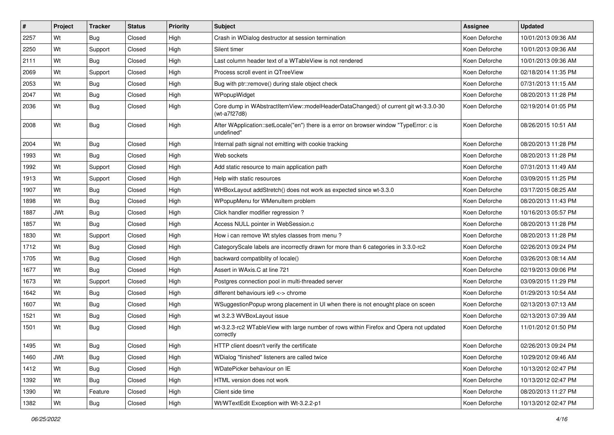| $\vert$ # | Project    | <b>Tracker</b> | <b>Status</b> | <b>Priority</b> | <b>Subject</b>                                                                                        | <b>Assignee</b> | <b>Updated</b>      |
|-----------|------------|----------------|---------------|-----------------|-------------------------------------------------------------------------------------------------------|-----------------|---------------------|
| 2257      | Wt         | Bug            | Closed        | High            | Crash in WDialog destructor at session termination                                                    | Koen Deforche   | 10/01/2013 09:36 AM |
| 2250      | Wt         | Support        | Closed        | High            | Silent timer                                                                                          | Koen Deforche   | 10/01/2013 09:36 AM |
| 2111      | Wt         | Bug            | Closed        | High            | Last column header text of a WTableView is not rendered                                               | Koen Deforche   | 10/01/2013 09:36 AM |
| 2069      | Wt         | Support        | Closed        | High            | Process scroll event in QTreeView                                                                     | Koen Deforche   | 02/18/2014 11:35 PM |
| 2053      | Wt         | <b>Bug</b>     | Closed        | High            | Bug with ptr::remove() during stale object check                                                      | Koen Deforche   | 07/31/2013 11:15 AM |
| 2047      | Wt         | <b>Bug</b>     | Closed        | High            | WPopupWidget                                                                                          | Koen Deforche   | 08/20/2013 11:28 PM |
| 2036      | Wt         | Bug            | Closed        | High            | Core dump in WAbstractItemView::modelHeaderDataChanged() of current git wt-3.3.0-30<br>(wt-a7f27d8)   | Koen Deforche   | 02/19/2014 01:05 PM |
| 2008      | Wt         | Bug            | Closed        | High            | After WApplication::setLocale("en") there is a error on browser window "TypeError: c is<br>undefined" | Koen Deforche   | 08/26/2015 10:51 AM |
| 2004      | Wt         | Bug            | Closed        | High            | Internal path signal not emitting with cookie tracking                                                | Koen Deforche   | 08/20/2013 11:28 PM |
| 1993      | Wt         | <b>Bug</b>     | Closed        | High            | Web sockets                                                                                           | Koen Deforche   | 08/20/2013 11:28 PM |
| 1992      | Wt         | Support        | Closed        | High            | Add static resource to main application path                                                          | Koen Deforche   | 07/31/2013 11:49 AM |
| 1913      | Wt         | Support        | Closed        | High            | Help with static resources                                                                            | Koen Deforche   | 03/09/2015 11:25 PM |
| 1907      | Wt         | <b>Bug</b>     | Closed        | High            | WHBoxLayout addStretch() does not work as expected since wt-3.3.0                                     | Koen Deforche   | 03/17/2015 08:25 AM |
| 1898      | Wt         | <b>Bug</b>     | Closed        | High            | WPopupMenu for WMenuItem problem                                                                      | Koen Deforche   | 08/20/2013 11:43 PM |
| 1887      | <b>JWt</b> | Bug            | Closed        | High            | Click handler modifier regression?                                                                    | Koen Deforche   | 10/16/2013 05:57 PM |
| 1857      | Wt         | <b>Bug</b>     | Closed        | High            | Access NULL pointer in WebSession.c                                                                   | Koen Deforche   | 08/20/2013 11:28 PM |
| 1830      | Wt         | Support        | Closed        | High            | How i can remove Wt styles classes from menu?                                                         | Koen Deforche   | 08/20/2013 11:28 PM |
| 1712      | Wt         | <b>Bug</b>     | Closed        | High            | CategoryScale labels are incorrectly drawn for more than 6 categories in 3.3.0-rc2                    | Koen Deforche   | 02/26/2013 09:24 PM |
| 1705      | Wt         | <b>Bug</b>     | Closed        | High            | backward compatiblity of locale()                                                                     | Koen Deforche   | 03/26/2013 08:14 AM |
| 1677      | Wt         | Bug            | Closed        | High            | Assert in WAxis.C at line 721                                                                         | Koen Deforche   | 02/19/2013 09:06 PM |
| 1673      | Wt         | Support        | Closed        | High            | Postgres connection pool in multi-threaded server                                                     | Koen Deforche   | 03/09/2015 11:29 PM |
| 1642      | Wt         | <b>Bug</b>     | Closed        | High            | different behaviours ie 9 <-> chrome                                                                  | Koen Deforche   | 01/29/2013 10:54 AM |
| 1607      | Wt         | <b>Bug</b>     | Closed        | High            | WSuggestionPopup wrong placement in UI when there is not enought place on sceen                       | Koen Deforche   | 02/13/2013 07:13 AM |
| 1521      | Wt         | <b>Bug</b>     | Closed        | High            | wt 3.2.3 WVBoxLayout issue                                                                            | Koen Deforche   | 02/13/2013 07:39 AM |
| 1501      | Wt         | Bug            | Closed        | High            | wt-3.2.3-rc2 WTableView with large number of rows within Firefox and Opera not updated<br>correctly   | Koen Deforche   | 11/01/2012 01:50 PM |
| 1495      | Wt         | Bug            | Closed        | High            | HTTP client doesn't verify the certificate                                                            | Koen Deforche   | 02/26/2013 09:24 PM |
| 1460      | JWt        | <b>Bug</b>     | Closed        | High            | WDialog "finished" listeners are called twice                                                         | Koen Deforche   | 10/29/2012 09:46 AM |
| 1412      | Wt         | <b>Bug</b>     | Closed        | High            | WDatePicker behaviour on IE                                                                           | Koen Deforche   | 10/13/2012 02:47 PM |
| 1392      | Wt         | Bug            | Closed        | High            | HTML version does not work                                                                            | Koen Deforche   | 10/13/2012 02:47 PM |
| 1390      | Wt         | Feature        | Closed        | High            | Client side time                                                                                      | Koen Deforche   | 08/20/2013 11:27 PM |
| 1382      | Wt         | <b>Bug</b>     | Closed        | High            | Wt/WTextEdit Exception with Wt-3.2.2-p1                                                               | Koen Deforche   | 10/13/2012 02:47 PM |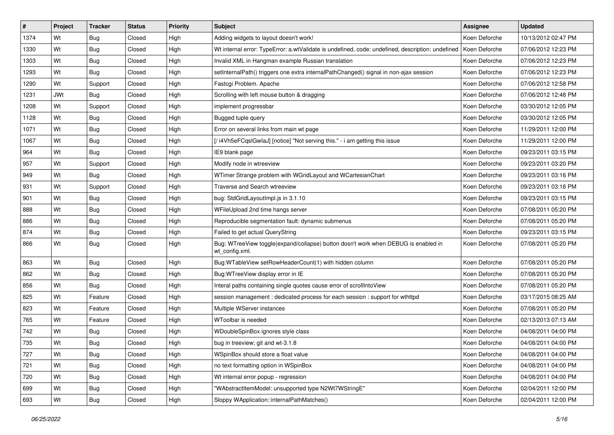| $\vert$ # | Project    | <b>Tracker</b> | <b>Status</b> | <b>Priority</b> | <b>Subject</b>                                                                                       | <b>Assignee</b> | <b>Updated</b>      |
|-----------|------------|----------------|---------------|-----------------|------------------------------------------------------------------------------------------------------|-----------------|---------------------|
| 1374      | Wt         | Bug            | Closed        | High            | Adding widgets to layout doesn't work!                                                               | Koen Deforche   | 10/13/2012 02:47 PM |
| 1330      | Wt         | Bug            | Closed        | High            | Wt internal error: TypeError: a.wtValidate is undefined, code: undefined, description: undefined     | Koen Deforche   | 07/06/2012 12:23 PM |
| 1303      | Wt         | Bug            | Closed        | High            | Invalid XML in Hangman example Russian translation                                                   | Koen Deforche   | 07/06/2012 12:23 PM |
| 1293      | Wt         | <b>Bug</b>     | Closed        | High            | setInternalPath() triggers one extra internalPathChanged() signal in non-ajax session                | Koen Deforche   | 07/06/2012 12:23 PM |
| 1290      | Wt         | Support        | Closed        | High            | Fastcgi Problem. Apache                                                                              | Koen Deforche   | 07/06/2012 12:58 PM |
| 1231      | <b>JWt</b> | Bug            | Closed        | High            | Scrolling with left mouse button & dragging                                                          | Koen Deforche   | 07/06/2012 12:48 PM |
| 1208      | Wt         | Support        | Closed        | High            | implement progressbar                                                                                | Koen Deforche   | 03/30/2012 12:05 PM |
| 1128      | Wt         | <b>Bug</b>     | Closed        | High            | Bugged tuple query                                                                                   | Koen Deforche   | 03/30/2012 12:05 PM |
| 1071      | Wt         | Bug            | Closed        | High            | Error on several links from main wt page                                                             | Koen Deforche   | 11/29/2011 12:00 PM |
| 1067      | Wt         | <b>Bug</b>     | Closed        | High            | [/i4Vh5eFCqslGwlaJ] [notice] "Not serving this." - i am getting this issue                           | Koen Deforche   | 11/29/2011 12:00 PM |
| 964       | Wt         | Bug            | Closed        | High            | IE9 blank page                                                                                       | Koen Deforche   | 09/23/2011 03:15 PM |
| 957       | Wt         | Support        | Closed        | High            | Modify node in wtreeview                                                                             | Koen Deforche   | 09/23/2011 03:20 PM |
| 949       | Wt         | <b>Bug</b>     | Closed        | High            | WTimer Strange problem with WGridLayout and WCartesianChart                                          | Koen Deforche   | 09/23/2011 03:16 PM |
| 931       | Wt         | Support        | Closed        | High            | Traverse and Search wtreeview                                                                        | Koen Deforche   | 09/23/2011 03:16 PM |
| 901       | Wt         | <b>Bug</b>     | Closed        | High            | bug: StdGridLayoutImpl.js in 3.1.10                                                                  | Koen Deforche   | 09/23/2011 03:15 PM |
| 888       | Wt         | Bug            | Closed        | High            | WFileUpload 2nd time hangs server                                                                    | Koen Deforche   | 07/08/2011 05:20 PM |
| 886       | Wt         | <b>Bug</b>     | Closed        | High            | Reproducible segmentation fault: dynamic submenus                                                    | Koen Deforche   | 07/08/2011 05:20 PM |
| 874       | Wt         | <b>Bug</b>     | Closed        | High            | Failed to get actual QueryString                                                                     | Koen Deforche   | 09/23/2011 03:15 PM |
| 866       | Wt         | Bug            | Closed        | High            | Bug: WTreeView toggle(expand/collapse) button dosn't work when DEBUG is enabled in<br>wt_config.xml. | Koen Deforche   | 07/08/2011 05:20 PM |
| 863       | Wt         | <b>Bug</b>     | Closed        | High            | Bug:WTableView setRowHeaderCount(1) with hidden column                                               | Koen Deforche   | 07/08/2011 05:20 PM |
| 862       | Wt         | <b>Bug</b>     | Closed        | High            | Bug: WTree View display error in IE                                                                  | Koen Deforche   | 07/08/2011 05:20 PM |
| 856       | Wt         | <b>Bug</b>     | Closed        | High            | Interal paths containing single quotes cause error of scrollIntoView                                 | Koen Deforche   | 07/08/2011 05:20 PM |
| 825       | Wt         | Feature        | Closed        | High            | session management: dedicated process for each session: support for wthttpd                          | Koen Deforche   | 03/17/2015 08:25 AM |
| 823       | Wt         | Feature        | Closed        | High            | Multiple WServer instances                                                                           | Koen Deforche   | 07/08/2011 05:20 PM |
| 765       | Wt         | Feature        | Closed        | High            | WToolbar is needed                                                                                   | Koen Deforche   | 02/13/2013 07:13 AM |
| 742       | Wt         | <b>Bug</b>     | Closed        | High            | WDoubleSpinBox ignores style class                                                                   | Koen Deforche   | 04/08/2011 04:00 PM |
| 735       | Wt         | <b>Bug</b>     | Closed        | High            | bug in treeview; git and wt-3.1.8                                                                    | Koen Deforche   | 04/08/2011 04:00 PM |
| 727       | Wt         | Bug            | Closed        | High            | WSpinBox should store a float value                                                                  | Koen Deforche   | 04/08/2011 04:00 PM |
| 721       | Wt         | <b>Bug</b>     | Closed        | High            | no text formatting option in WSpinBox                                                                | Koen Deforche   | 04/08/2011 04:00 PM |
| 720       | Wt         | <b>Bug</b>     | Closed        | High            | Wt internal error popup - regression                                                                 | Koen Deforche   | 04/08/2011 04:00 PM |
| 699       | Wt         | <b>Bug</b>     | Closed        | High            | "WAbstractItemModel: unsupported type N2Wt7WStringE"                                                 | Koen Deforche   | 02/04/2011 12:00 PM |
| 693       | Wt         | <b>Bug</b>     | Closed        | High            | Sloppy WApplication::internalPathMatches()                                                           | Koen Deforche   | 02/04/2011 12:00 PM |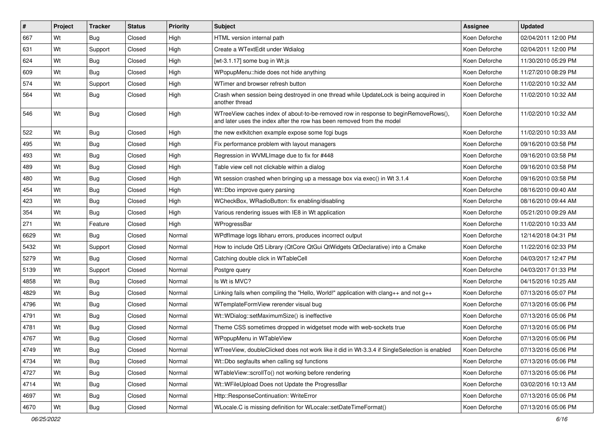| #    | Project | <b>Tracker</b> | <b>Status</b> | Priority | <b>Subject</b>                                                                                                                                                | <b>Assignee</b> | <b>Updated</b>      |
|------|---------|----------------|---------------|----------|---------------------------------------------------------------------------------------------------------------------------------------------------------------|-----------------|---------------------|
| 667  | Wt      | Bug            | Closed        | High     | HTML version internal path                                                                                                                                    | Koen Deforche   | 02/04/2011 12:00 PM |
| 631  | Wt      | Support        | Closed        | High     | Create a WTextEdit under Wdialog                                                                                                                              | Koen Deforche   | 02/04/2011 12:00 PM |
| 624  | Wt      | Bug            | Closed        | High     | [wt-3.1.17] some bug in Wt.js                                                                                                                                 | Koen Deforche   | 11/30/2010 05:29 PM |
| 609  | Wt      | Bug            | Closed        | High     | WPopupMenu::hide does not hide anything                                                                                                                       | Koen Deforche   | 11/27/2010 08:29 PM |
| 574  | Wt      | Support        | Closed        | High     | WTimer and browser refresh button                                                                                                                             | Koen Deforche   | 11/02/2010 10:32 AM |
| 564  | Wt      | Bug            | Closed        | High     | Crash when session being destroyed in one thread while UpdateLock is being acquired in<br>another thread                                                      | Koen Deforche   | 11/02/2010 10:32 AM |
| 546  | Wt      | Bug            | Closed        | High     | WTreeView caches index of about-to-be-removed row in response to beginRemoveRows(),<br>and later uses the index after the row has been removed from the model | Koen Deforche   | 11/02/2010 10:32 AM |
| 522  | Wt      | Bug            | Closed        | High     | the new extkitchen example expose some fogi bugs                                                                                                              | Koen Deforche   | 11/02/2010 10:33 AM |
| 495  | Wt      | Bug            | Closed        | High     | Fix performance problem with layout managers                                                                                                                  | Koen Deforche   | 09/16/2010 03:58 PM |
| 493  | Wt      | Bug            | Closed        | High     | Regression in WVMLImage due to fix for #448                                                                                                                   | Koen Deforche   | 09/16/2010 03:58 PM |
| 489  | Wt      | Bug            | Closed        | High     | Table view cell not clickable within a dialog                                                                                                                 | Koen Deforche   | 09/16/2010 03:58 PM |
| 480  | Wt      | Bug            | Closed        | High     | Wt session crashed when bringing up a message box via exec() in Wt 3.1.4                                                                                      | Koen Deforche   | 09/16/2010 03:58 PM |
| 454  | Wt      | Bug            | Closed        | High     | Wt::Dbo improve query parsing                                                                                                                                 | Koen Deforche   | 08/16/2010 09:40 AM |
| 423  | Wt      | Bug            | Closed        | High     | WCheckBox, WRadioButton: fix enabling/disabling                                                                                                               | Koen Deforche   | 08/16/2010 09:44 AM |
| 354  | Wt      | Bug            | Closed        | High     | Various rendering issues with IE8 in Wt application                                                                                                           | Koen Deforche   | 05/21/2010 09:29 AM |
| 271  | Wt      | Feature        | Closed        | High     | WProgressBar                                                                                                                                                  | Koen Deforche   | 11/02/2010 10:33 AM |
| 6629 | Wt      | Bug            | Closed        | Normal   | WPdflmage logs libharu errors, produces incorrect output                                                                                                      | Koen Deforche   | 12/14/2018 04:31 PM |
| 5432 | Wt      | Support        | Closed        | Normal   | How to include Qt5 Library (QtCore QtGui QtWidgets QtDeclarative) into a Cmake                                                                                | Koen Deforche   | 11/22/2016 02:33 PM |
| 5279 | Wt      | Bug            | Closed        | Normal   | Catching double click in WTableCell                                                                                                                           | Koen Deforche   | 04/03/2017 12:47 PM |
| 5139 | Wt      | Support        | Closed        | Normal   | Postgre query                                                                                                                                                 | Koen Deforche   | 04/03/2017 01:33 PM |
| 4858 | Wt      | Bug            | Closed        | Normal   | Is Wt is MVC?                                                                                                                                                 | Koen Deforche   | 04/15/2016 10:25 AM |
| 4829 | Wt      | Bug            | Closed        | Normal   | Linking fails when compiling the "Hello, World!" application with clang $++$ and not $g++$                                                                    | Koen Deforche   | 07/13/2016 05:07 PM |
| 4796 | Wt      | <b>Bug</b>     | Closed        | Normal   | WTemplateFormView rerender visual bug                                                                                                                         | Koen Deforche   | 07/13/2016 05:06 PM |
| 4791 | Wt      | Bug            | Closed        | Normal   | Wt::WDialog::setMaximumSize() is ineffective                                                                                                                  | Koen Deforche   | 07/13/2016 05:06 PM |
| 4781 | Wt      | Bug            | Closed        | Normal   | Theme CSS sometimes dropped in widgetset mode with web-sockets true                                                                                           | Koen Deforche   | 07/13/2016 05:06 PM |
| 4767 | Wt      | Bug            | Closed        | Normal   | WPopupMenu in WTableView                                                                                                                                      | Koen Deforche   | 07/13/2016 05:06 PM |
| 4749 | Wt      | <b>Bug</b>     | Closed        | Normal   | WTreeView, doubleClicked does not work like it did in Wt-3.3.4 if SingleSelection is enabled                                                                  | Koen Deforche   | 07/13/2016 05:06 PM |
| 4734 | Wt      | <b>Bug</b>     | Closed        | Normal   | Wt::Dbo segfaults when calling sql functions                                                                                                                  | Koen Deforche   | 07/13/2016 05:06 PM |
| 4727 | Wt      | <b>Bug</b>     | Closed        | Normal   | WTableView::scrollTo() not working before rendering                                                                                                           | Koen Deforche   | 07/13/2016 05:06 PM |
| 4714 | Wt      | <b>Bug</b>     | Closed        | Normal   | Wt::WFileUpload Does not Update the ProgressBar                                                                                                               | Koen Deforche   | 03/02/2016 10:13 AM |
| 4697 | Wt      | <b>Bug</b>     | Closed        | Normal   | Http::ResponseContinuation: WriteError                                                                                                                        | Koen Deforche   | 07/13/2016 05:06 PM |
| 4670 | Wt      | Bug            | Closed        | Normal   | WLocale.C is missing definition for WLocale::setDateTimeFormat()                                                                                              | Koen Deforche   | 07/13/2016 05:06 PM |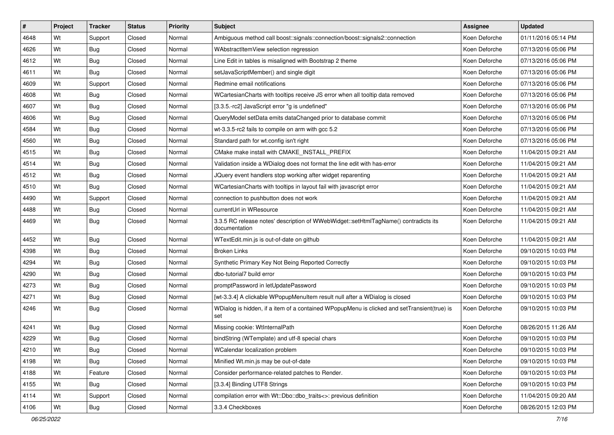| $\vert$ # | Project | <b>Tracker</b> | <b>Status</b> | <b>Priority</b> | <b>Subject</b>                                                                                       | <b>Assignee</b> | <b>Updated</b>      |
|-----------|---------|----------------|---------------|-----------------|------------------------------------------------------------------------------------------------------|-----------------|---------------------|
| 4648      | Wt      | Support        | Closed        | Normal          | Ambiguous method call boost::signals::connection/boost::signals2::connection                         | Koen Deforche   | 01/11/2016 05:14 PM |
| 4626      | Wt      | Bug            | Closed        | Normal          | WAbstractItemView selection regression                                                               | Koen Deforche   | 07/13/2016 05:06 PM |
| 4612      | Wt      | Bug            | Closed        | Normal          | Line Edit in tables is misaligned with Bootstrap 2 theme                                             | Koen Deforche   | 07/13/2016 05:06 PM |
| 4611      | Wt      | Bug            | Closed        | Normal          | setJavaScriptMember() and single digit                                                               | Koen Deforche   | 07/13/2016 05:06 PM |
| 4609      | Wt      | Support        | Closed        | Normal          | Redmine email notifications                                                                          | Koen Deforche   | 07/13/2016 05:06 PM |
| 4608      | Wt      | Bug            | Closed        | Normal          | WCartesianCharts with tooltips receive JS error when all tooltip data removed                        | Koen Deforche   | 07/13/2016 05:06 PM |
| 4607      | Wt      | <b>Bug</b>     | Closed        | Normal          | [3.3.5.-rc2] JavaScript error "g is undefined"                                                       | Koen Deforche   | 07/13/2016 05:06 PM |
| 4606      | Wt      | <b>Bug</b>     | Closed        | Normal          | QueryModel setData emits dataChanged prior to database commit                                        | Koen Deforche   | 07/13/2016 05:06 PM |
| 4584      | Wt      | <b>Bug</b>     | Closed        | Normal          | wt-3.3.5-rc2 fails to compile on arm with gcc 5.2                                                    | Koen Deforche   | 07/13/2016 05:06 PM |
| 4560      | Wt      | Bug            | Closed        | Normal          | Standard path for wt.config isn't right                                                              | Koen Deforche   | 07/13/2016 05:06 PM |
| 4515      | Wt      | Bug            | Closed        | Normal          | CMake make install with CMAKE_INSTALL_PREFIX                                                         | Koen Deforche   | 11/04/2015 09:21 AM |
| 4514      | Wt      | <b>Bug</b>     | Closed        | Normal          | Validation inside a WDialog does not format the line edit with has-error                             | Koen Deforche   | 11/04/2015 09:21 AM |
| 4512      | Wt      | <b>Bug</b>     | Closed        | Normal          | JQuery event handlers stop working after widget reparenting                                          | Koen Deforche   | 11/04/2015 09:21 AM |
| 4510      | Wt      | Bug            | Closed        | Normal          | WCartesianCharts with tooltips in layout fail with javascript error                                  | Koen Deforche   | 11/04/2015 09:21 AM |
| 4490      | Wt      | Support        | Closed        | Normal          | connection to pushbutton does not work                                                               | Koen Deforche   | 11/04/2015 09:21 AM |
| 4488      | Wt      | Bug            | Closed        | Normal          | currentUrl in WResource                                                                              | Koen Deforche   | 11/04/2015 09:21 AM |
| 4469      | Wt      | <b>Bug</b>     | Closed        | Normal          | 3.3.5 RC release notes' description of WWebWidget::setHtmlTagName() contradicts its<br>documentation | Koen Deforche   | 11/04/2015 09:21 AM |
| 4452      | Wt      | <b>Bug</b>     | Closed        | Normal          | WTextEdit.min.js is out-of-date on github                                                            | Koen Deforche   | 11/04/2015 09:21 AM |
| 4398      | Wt      | Bug            | Closed        | Normal          | <b>Broken Links</b>                                                                                  | Koen Deforche   | 09/10/2015 10:03 PM |
| 4294      | Wt      | <b>Bug</b>     | Closed        | Normal          | Synthetic Primary Key Not Being Reported Correctly                                                   | Koen Deforche   | 09/10/2015 10:03 PM |
| 4290      | Wt      | Bug            | Closed        | Normal          | dbo-tutorial7 build error                                                                            | Koen Deforche   | 09/10/2015 10:03 PM |
| 4273      | Wt      | Bug            | Closed        | Normal          | promptPassword in letUpdatePassword                                                                  | Koen Deforche   | 09/10/2015 10:03 PM |
| 4271      | Wt      | Bug            | Closed        | Normal          | [wt-3.3.4] A clickable WPopupMenuItem result null after a WDialog is closed                          | Koen Deforche   | 09/10/2015 10:03 PM |
| 4246      | Wt      | <b>Bug</b>     | Closed        | Normal          | WDialog is hidden, if a item of a contained WPopupMenu is clicked and setTransient(true) is<br>set   | Koen Deforche   | 09/10/2015 10:03 PM |
| 4241      | Wt      | <b>Bug</b>     | Closed        | Normal          | Missing cookie: WtInternalPath                                                                       | Koen Deforche   | 08/26/2015 11:26 AM |
| 4229      | Wt      | <b>Bug</b>     | Closed        | Normal          | bindString (WTemplate) and utf-8 special chars                                                       | Koen Deforche   | 09/10/2015 10:03 PM |
| 4210      | Wt      | <b>Bug</b>     | Closed        | Normal          | WCalendar localization problem                                                                       | Koen Deforche   | 09/10/2015 10:03 PM |
| 4198      | Wt      | Bug            | Closed        | Normal          | Minified Wt.min.js may be out-of-date                                                                | Koen Deforche   | 09/10/2015 10:03 PM |
| 4188      | Wt      | Feature        | Closed        | Normal          | Consider performance-related patches to Render.                                                      | Koen Deforche   | 09/10/2015 10:03 PM |
| 4155      | Wt      | Bug            | Closed        | Normal          | [3.3.4] Binding UTF8 Strings                                                                         | Koen Deforche   | 09/10/2015 10:03 PM |
| 4114      | Wt      | Support        | Closed        | Normal          | compilation error with Wt::Dbo::dbo_traits<>: previous definition                                    | Koen Deforche   | 11/04/2015 09:20 AM |
| 4106      | Wt      | <b>Bug</b>     | Closed        | Normal          | 3.3.4 Checkboxes                                                                                     | Koen Deforche   | 08/26/2015 12:03 PM |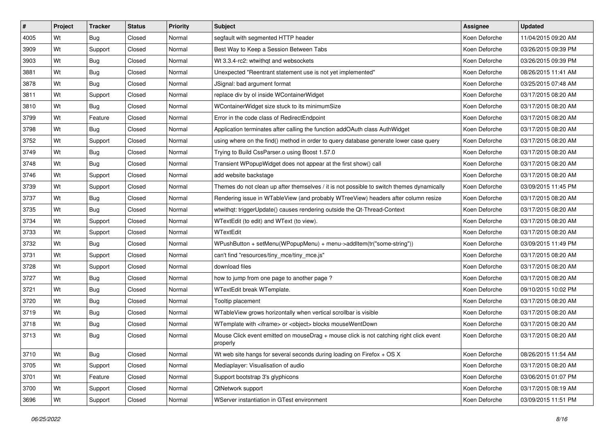| #    | Project | <b>Tracker</b> | <b>Status</b> | Priority | <b>Subject</b>                                                                                     | Assignee      | <b>Updated</b>      |
|------|---------|----------------|---------------|----------|----------------------------------------------------------------------------------------------------|---------------|---------------------|
| 4005 | Wt      | Bug            | Closed        | Normal   | segfault with segmented HTTP header                                                                | Koen Deforche | 11/04/2015 09:20 AM |
| 3909 | Wt      | Support        | Closed        | Normal   | Best Way to Keep a Session Between Tabs                                                            | Koen Deforche | 03/26/2015 09:39 PM |
| 3903 | Wt      | Bug            | Closed        | Normal   | Wt 3.3.4-rc2: wtwithgt and websockets                                                              | Koen Deforche | 03/26/2015 09:39 PM |
| 3881 | Wt      | Bug            | Closed        | Normal   | Unexpected "Reentrant statement use is not yet implemented"                                        | Koen Deforche | 08/26/2015 11:41 AM |
| 3878 | Wt      | Bug            | Closed        | Normal   | JSignal: bad argument format                                                                       | Koen Deforche | 03/25/2015 07:48 AM |
| 3811 | Wt      | Support        | Closed        | Normal   | replace div by ol inside WContainerWidget                                                          | Koen Deforche | 03/17/2015 08:20 AM |
| 3810 | Wt      | Bug            | Closed        | Normal   | WContainerWidget size stuck to its minimumSize                                                     | Koen Deforche | 03/17/2015 08:20 AM |
| 3799 | Wt      | Feature        | Closed        | Normal   | Error in the code class of RedirectEndpoint                                                        | Koen Deforche | 03/17/2015 08:20 AM |
| 3798 | Wt      | Bug            | Closed        | Normal   | Application terminates after calling the function addOAuth class AuthWidget                        | Koen Deforche | 03/17/2015 08:20 AM |
| 3752 | Wt      | Support        | Closed        | Normal   | using where on the find() method in order to query database generate lower case query              | Koen Deforche | 03/17/2015 08:20 AM |
| 3749 | Wt      | Bug            | Closed        | Normal   | Trying to Build CssParser.o using Boost 1.57.0                                                     | Koen Deforche | 03/17/2015 08:20 AM |
| 3748 | Wt      | Bug            | Closed        | Normal   | Transient WPopupWidget does not appear at the first show() call                                    | Koen Deforche | 03/17/2015 08:20 AM |
| 3746 | Wt      | Support        | Closed        | Normal   | add website backstage                                                                              | Koen Deforche | 03/17/2015 08:20 AM |
| 3739 | Wt      | Support        | Closed        | Normal   | Themes do not clean up after themselves / it is not possible to switch themes dynamically          | Koen Deforche | 03/09/2015 11:45 PM |
| 3737 | Wt      | Bug            | Closed        | Normal   | Rendering issue in WTableView (and probably WTreeView) headers after column resize                 | Koen Deforche | 03/17/2015 08:20 AM |
| 3735 | Wt      | Bug            | Closed        | Normal   | wtwithqt: triggerUpdate() causes rendering outside the Qt-Thread-Context                           | Koen Deforche | 03/17/2015 08:20 AM |
| 3734 | Wt      | Support        | Closed        | Normal   | WTextEdit (to edit) and WText (to view).                                                           | Koen Deforche | 03/17/2015 08:20 AM |
| 3733 | Wt      | Support        | Closed        | Normal   | WTextEdit                                                                                          | Koen Deforche | 03/17/2015 08:20 AM |
| 3732 | Wt      | Bug            | Closed        | Normal   | WPushButton + setMenu(WPopupMenu) + menu->addItem(tr("some-string"))                               | Koen Deforche | 03/09/2015 11:49 PM |
| 3731 | Wt      | Support        | Closed        | Normal   | can't find "resources/tiny_mce/tiny_mce.js"                                                        | Koen Deforche | 03/17/2015 08:20 AM |
| 3728 | Wt      | Support        | Closed        | Normal   | download files                                                                                     | Koen Deforche | 03/17/2015 08:20 AM |
| 3727 | Wt      | Bug            | Closed        | Normal   | how to jump from one page to another page?                                                         | Koen Deforche | 03/17/2015 08:20 AM |
| 3721 | Wt      | Bug            | Closed        | Normal   | WTextEdit break WTemplate.                                                                         | Koen Deforche | 09/10/2015 10:02 PM |
| 3720 | Wt      | <b>Bug</b>     | Closed        | Normal   | Tooltip placement                                                                                  | Koen Deforche | 03/17/2015 08:20 AM |
| 3719 | Wt      | <b>Bug</b>     | Closed        | Normal   | WTableView grows horizontally when vertical scrollbar is visible                                   | Koen Deforche | 03/17/2015 08:20 AM |
| 3718 | Wt      | <b>Bug</b>     | Closed        | Normal   | WTemplate with <iframe> or <object> blocks mouseWentDown</object></iframe>                         | Koen Deforche | 03/17/2015 08:20 AM |
| 3713 | Wt      | Bug            | Closed        | Normal   | Mouse Click event emitted on mouseDrag + mouse click is not catching right click event<br>properly | Koen Deforche | 03/17/2015 08:20 AM |
| 3710 | Wt      | Bug            | Closed        | Normal   | Wt web site hangs for several seconds during loading on Firefox $+$ OS X                           | Koen Deforche | 08/26/2015 11:54 AM |
| 3705 | Wt      | Support        | Closed        | Normal   | Mediaplayer: Visualisation of audio                                                                | Koen Deforche | 03/17/2015 08:20 AM |
| 3701 | Wt      | Feature        | Closed        | Normal   | Support bootstrap 3's glyphicons                                                                   | Koen Deforche | 03/06/2015 01:07 PM |
| 3700 | Wt      | Support        | Closed        | Normal   | QtNetwork support                                                                                  | Koen Deforche | 03/17/2015 08:19 AM |
| 3696 | Wt      | Support        | Closed        | Normal   | WServer instantiation in GTest environment                                                         | Koen Deforche | 03/09/2015 11:51 PM |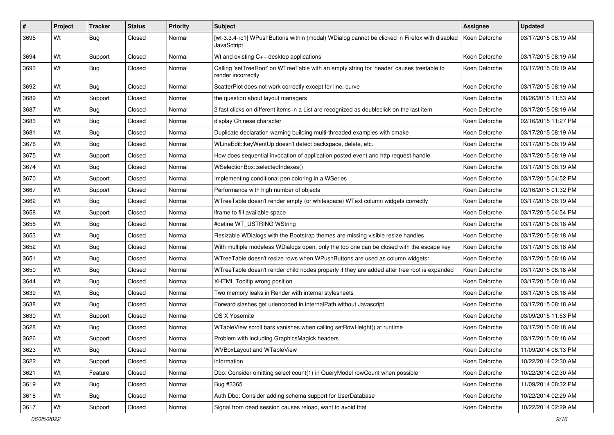| #    | Project | <b>Tracker</b> | <b>Status</b> | <b>Priority</b> | <b>Subject</b>                                                                                                  | Assignee      | <b>Updated</b>      |
|------|---------|----------------|---------------|-----------------|-----------------------------------------------------------------------------------------------------------------|---------------|---------------------|
| 3695 | Wt      | <b>Bug</b>     | Closed        | Normal          | [wt-3.3.4-rc1] WPushButtons within (modal) WDialog cannot be clicked in Firefox with disabled<br>JavaSctript    | Koen Deforche | 03/17/2015 08:19 AM |
| 3694 | Wt      | Support        | Closed        | Normal          | Wt and existing C++ desktop applications                                                                        | Koen Deforche | 03/17/2015 08:19 AM |
| 3693 | Wt      | <b>Bug</b>     | Closed        | Normal          | Calling 'setTreeRoot' on WTreeTable with an empty string for 'header' causes treetable to<br>render incorrectly | Koen Deforche | 03/17/2015 08:19 AM |
| 3692 | Wt      | Bug            | Closed        | Normal          | ScatterPlot does not work correctly except for line, curve                                                      | Koen Deforche | 03/17/2015 08:19 AM |
| 3689 | Wt      | Support        | Closed        | Normal          | the question about layout managers                                                                              | Koen Deforche | 08/26/2015 11:53 AM |
| 3687 | Wt      | <b>Bug</b>     | Closed        | Normal          | 2 fast clicks on different items in a List are recognized as doubleclick on the last item                       | Koen Deforche | 03/17/2015 08:19 AM |
| 3683 | Wt      | <b>Bug</b>     | Closed        | Normal          | display Chinese character                                                                                       | Koen Deforche | 02/16/2015 11:27 PM |
| 3681 | Wt      | <b>Bug</b>     | Closed        | Normal          | Duplicate declaration warning building multi-threaded examples with cmake                                       | Koen Deforche | 03/17/2015 08:19 AM |
| 3676 | Wt      | <b>Bug</b>     | Closed        | Normal          | WLineEdit::keyWentUp doesn't detect backspace, delete, etc.                                                     | Koen Deforche | 03/17/2015 08:19 AM |
| 3675 | Wt      | Support        | Closed        | Normal          | How does sequential invocation of application posted event and http request handle.                             | Koen Deforche | 03/17/2015 08:19 AM |
| 3674 | Wt      | <b>Bug</b>     | Closed        | Normal          | WSelectionBox::selectedIndexes()                                                                                | Koen Deforche | 03/17/2015 08:19 AM |
| 3670 | Wt      | Support        | Closed        | Normal          | Implementing conditional pen coloring in a WSeries                                                              | Koen Deforche | 03/17/2015 04:52 PM |
| 3667 | Wt      | Support        | Closed        | Normal          | Performance with high number of objects                                                                         | Koen Deforche | 02/16/2015 01:32 PM |
| 3662 | Wt      | <b>Bug</b>     | Closed        | Normal          | WTreeTable doesn't render empty (or whitespace) WText column widgets correctly                                  | Koen Deforche | 03/17/2015 08:19 AM |
| 3658 | Wt      | Support        | Closed        | Normal          | iframe to fill available space                                                                                  | Koen Deforche | 03/17/2015 04:54 PM |
| 3655 | Wt      | <b>Bug</b>     | Closed        | Normal          | #define WT_USTRING WString                                                                                      | Koen Deforche | 03/17/2015 08:18 AM |
| 3653 | Wt      | Bug            | Closed        | Normal          | Resizable WDialogs with the Bootstrap themes are missing visible resize handles                                 | Koen Deforche | 03/17/2015 08:18 AM |
| 3652 | Wt      | <b>Bug</b>     | Closed        | Normal          | With multiple modeless WDialogs open, only the top one can be closed with the escape key                        | Koen Deforche | 03/17/2015 08:18 AM |
| 3651 | Wt      | <b>Bug</b>     | Closed        | Normal          | WTreeTable doesn't resize rows when WPushButtons are used as column widgets:                                    | Koen Deforche | 03/17/2015 08:18 AM |
| 3650 | Wt      | <b>Bug</b>     | Closed        | Normal          | WTreeTable doesn't render child nodes properly if they are added after tree root is expanded                    | Koen Deforche | 03/17/2015 08:18 AM |
| 3644 | Wt      | <b>Bug</b>     | Closed        | Normal          | XHTML Tooltip wrong position                                                                                    | Koen Deforche | 03/17/2015 08:18 AM |
| 3639 | Wt      | <b>Bug</b>     | Closed        | Normal          | Two memory leaks in Render with internal stylesheets                                                            | Koen Deforche | 03/17/2015 08:18 AM |
| 3638 | Wt      | <b>Bug</b>     | Closed        | Normal          | Forward slashes get urlencoded in internalPath without Javascript                                               | Koen Deforche | 03/17/2015 08:18 AM |
| 3630 | Wt      | Support        | Closed        | Normal          | OS X Yosemite                                                                                                   | Koen Deforche | 03/09/2015 11:53 PM |
| 3628 | Wt      | <b>Bug</b>     | Closed        | Normal          | WTableView scroll bars vanishes when calling setRowHeight() at runtime                                          | Koen Deforche | 03/17/2015 08:18 AM |
| 3626 | Wt      | Support        | Closed        | Normal          | Problem with including GraphicsMagick headers                                                                   | Koen Deforche | 03/17/2015 08:18 AM |
| 3623 | Wt      | Bug            | Closed        | Normal          | WVBoxLayout and WTableView                                                                                      | Koen Deforche | 11/09/2014 08:13 PM |
| 3622 | Wt      | Support        | Closed        | Normal          | information                                                                                                     | Koen Deforche | 10/22/2014 02:30 AM |
| 3621 | Wt      | Feature        | Closed        | Normal          | Dbo: Consider omitting select count(1) in QueryModel rowCount when possible                                     | Koen Deforche | 10/22/2014 02:30 AM |
| 3619 | Wt      | <b>Bug</b>     | Closed        | Normal          | Bug #3365                                                                                                       | Koen Deforche | 11/09/2014 08:32 PM |
| 3618 | Wt      | <b>Bug</b>     | Closed        | Normal          | Auth Dbo: Consider adding schema support for UserDatabase                                                       | Koen Deforche | 10/22/2014 02:29 AM |
| 3617 | Wt      | Support        | Closed        | Normal          | Signal from dead session causes reload, want to avoid that                                                      | Koen Deforche | 10/22/2014 02:29 AM |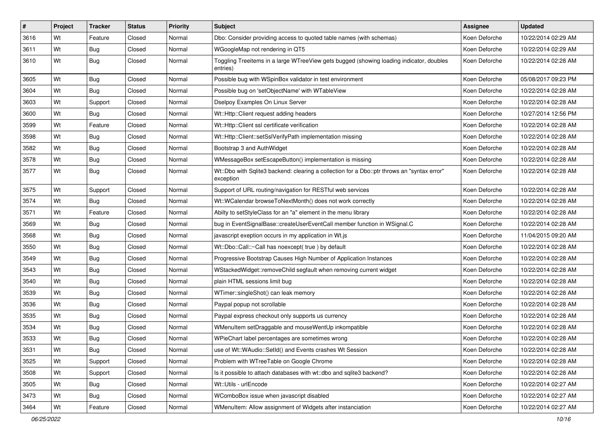| $\vert$ # | Project | <b>Tracker</b> | <b>Status</b> | <b>Priority</b> | <b>Subject</b>                                                                                           | <b>Assignee</b> | <b>Updated</b>      |
|-----------|---------|----------------|---------------|-----------------|----------------------------------------------------------------------------------------------------------|-----------------|---------------------|
| 3616      | Wt      | Feature        | Closed        | Normal          | Dbo: Consider providing access to quoted table names (with schemas)                                      | Koen Deforche   | 10/22/2014 02:29 AM |
| 3611      | Wt      | Bug            | Closed        | Normal          | WGoogleMap not rendering in QT5                                                                          | Koen Deforche   | 10/22/2014 02:29 AM |
| 3610      | Wt      | <b>Bug</b>     | Closed        | Normal          | Toggling Treeitems in a large WTreeView gets bugged (showing loading indicator, doubles<br>entries)      | Koen Deforche   | 10/22/2014 02:28 AM |
| 3605      | Wt      | <b>Bug</b>     | Closed        | Normal          | Possible bug with WSpinBox validator in test environment                                                 | Koen Deforche   | 05/08/2017 09:23 PM |
| 3604      | Wt      | <b>Bug</b>     | Closed        | Normal          | Possible bug on 'setObjectName' with WTableView                                                          | Koen Deforche   | 10/22/2014 02:28 AM |
| 3603      | Wt      | Support        | Closed        | Normal          | Dselpoy Examples On Linux Server                                                                         | Koen Deforche   | 10/22/2014 02:28 AM |
| 3600      | Wt      | Bug            | Closed        | Normal          | Wt::Http::Client request adding headers                                                                  | Koen Deforche   | 10/27/2014 12:56 PM |
| 3599      | Wt      | Feature        | Closed        | Normal          | Wt::Http::Client ssl certificate verification                                                            | Koen Deforche   | 10/22/2014 02:28 AM |
| 3598      | Wt      | <b>Bug</b>     | Closed        | Normal          | Wt::Http::Client::setSsIVerifyPath implementation missing                                                | Koen Deforche   | 10/22/2014 02:28 AM |
| 3582      | Wt      | <b>Bug</b>     | Closed        | Normal          | Bootstrap 3 and AuthWidget                                                                               | Koen Deforche   | 10/22/2014 02:28 AM |
| 3578      | Wt      | Bug            | Closed        | Normal          | WMessageBox setEscapeButton() implementation is missing                                                  | Koen Deforche   | 10/22/2014 02:28 AM |
| 3577      | Wt      | <b>Bug</b>     | Closed        | Normal          | Wt::Dbo with Sqlite3 backend: clearing a collection for a Dbo::ptr throws an "syntax error"<br>exception | Koen Deforche   | 10/22/2014 02:28 AM |
| 3575      | Wt      | Support        | Closed        | Normal          | Support of URL routing/navigation for RESTful web services                                               | Koen Deforche   | 10/22/2014 02:28 AM |
| 3574      | Wt      | <b>Bug</b>     | Closed        | Normal          | Wt::WCalendar browseToNextMonth() does not work correctly                                                | Koen Deforche   | 10/22/2014 02:28 AM |
| 3571      | Wt      | Feature        | Closed        | Normal          | Abilty to setStyleClass for an "a" element in the menu library                                           | Koen Deforche   | 10/22/2014 02:28 AM |
| 3569      | Wt      | <b>Bug</b>     | Closed        | Normal          | bug in EventSignalBase::createUserEventCall member function in WSignal.C                                 | Koen Deforche   | 10/22/2014 02:28 AM |
| 3568      | Wt      | Bug            | Closed        | Normal          | javascript exeption occurs in my application in Wt.js                                                    | Koen Deforche   | 11/04/2015 09:20 AM |
| 3550      | Wt      | <b>Bug</b>     | Closed        | Normal          | Wt::Dbo::Call::~Call has noexcept( true ) by default                                                     | Koen Deforche   | 10/22/2014 02:28 AM |
| 3549      | Wt      | <b>Bug</b>     | Closed        | Normal          | Progressive Bootstrap Causes High Number of Application Instances                                        | Koen Deforche   | 10/22/2014 02:28 AM |
| 3543      | Wt      | Bug            | Closed        | Normal          | WStackedWidget::removeChild segfault when removing current widget                                        | Koen Deforche   | 10/22/2014 02:28 AM |
| 3540      | Wt      | <b>Bug</b>     | Closed        | Normal          | plain HTML sessions limit bug                                                                            | Koen Deforche   | 10/22/2014 02:28 AM |
| 3539      | Wt      | Bug            | Closed        | Normal          | WTimer::singleShot() can leak memory                                                                     | Koen Deforche   | 10/22/2014 02:28 AM |
| 3536      | Wt      | <b>Bug</b>     | Closed        | Normal          | Paypal popup not scrollable                                                                              | Koen Deforche   | 10/22/2014 02:28 AM |
| 3535      | Wt      | <b>Bug</b>     | Closed        | Normal          | Paypal express checkout only supports us currency                                                        | Koen Deforche   | 10/22/2014 02:28 AM |
| 3534      | Wt      | i Bug          | Closed        | Normal          | WMenuItem setDraggable and mouseWentUp inkompatible                                                      | Koen Deforche   | 10/22/2014 02:28 AM |
| 3533      | Wt      | <b>Bug</b>     | Closed        | Normal          | WPieChart label percentages are sometimes wrong                                                          | Koen Deforche   | 10/22/2014 02:28 AM |
| 3531      | Wt      | Bug            | Closed        | Normal          | use of Wt:: WAudio:: SetId() and Events crashes Wt Session                                               | Koen Deforche   | 10/22/2014 02:28 AM |
| 3525      | Wt      | Support        | Closed        | Normal          | Problem with WTreeTable on Google Chrome                                                                 | Koen Deforche   | 10/22/2014 02:28 AM |
| 3508      | Wt      | Support        | Closed        | Normal          | Is it possible to attach databases with wt::dbo and sqlite3 backend?                                     | Koen Deforche   | 10/22/2014 02:28 AM |
| 3505      | Wt      | <b>Bug</b>     | Closed        | Normal          | Wt::Utils - urlEncode                                                                                    | Koen Deforche   | 10/22/2014 02:27 AM |
| 3473      | Wt      | Bug            | Closed        | Normal          | WComboBox issue when javascript disabled                                                                 | Koen Deforche   | 10/22/2014 02:27 AM |
| 3464      | Wt      | Feature        | Closed        | Normal          | WMenuItem: Allow assignment of Widgets after instanciation                                               | Koen Deforche   | 10/22/2014 02:27 AM |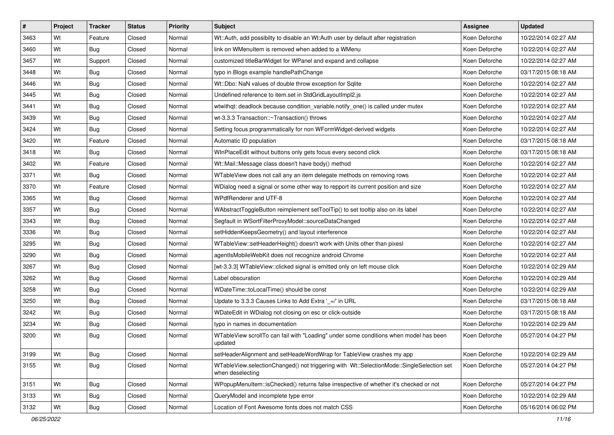| #    | Project | <b>Tracker</b> | <b>Status</b> | Priority | <b>Subject</b>                                                                                               | <b>Assignee</b> | <b>Updated</b>      |
|------|---------|----------------|---------------|----------|--------------------------------------------------------------------------------------------------------------|-----------------|---------------------|
| 3463 | Wt      | Feature        | Closed        | Normal   | Wt::Auth, add possibilty to disable an Wt:Auth user by default after registration                            | Koen Deforche   | 10/22/2014 02:27 AM |
| 3460 | Wt      | Bug            | Closed        | Normal   | link on WMenultem is removed when added to a WMenu                                                           | Koen Deforche   | 10/22/2014 02:27 AM |
| 3457 | Wt      | Support        | Closed        | Normal   | customized titleBarWidget for WPanel and expand and collapse                                                 | Koen Deforche   | 10/22/2014 02:27 AM |
| 3448 | Wt      | Bug            | Closed        | Normal   | typo in Blogs example handlePathChange                                                                       | Koen Deforche   | 03/17/2015 08:18 AM |
| 3446 | Wt      | Bug            | Closed        | Normal   | Wt::Dbo: NaN values of double throw exception for Sqlite                                                     | Koen Deforche   | 10/22/2014 02:27 AM |
| 3445 | Wt      | Bug            | Closed        | Normal   | Undefined reference to item.set in StdGridLayoutImpl2.js                                                     | Koen Deforche   | 10/22/2014 02:27 AM |
| 3441 | Wt      | Bug            | Closed        | Normal   | wtwithqt: deadlock because condition_variable.notify_one() is called under mutex                             | Koen Deforche   | 10/22/2014 02:27 AM |
| 3439 | Wt      | <b>Bug</b>     | Closed        | Normal   | wt-3.3.3 Transaction::~Transaction() throws                                                                  | Koen Deforche   | 10/22/2014 02:27 AM |
| 3424 | Wt      | Bug            | Closed        | Normal   | Setting focus programmatically for non WFormWidget-derived widgets                                           | Koen Deforche   | 10/22/2014 02:27 AM |
| 3420 | Wt      | Feature        | Closed        | Normal   | Automatic ID population                                                                                      | Koen Deforche   | 03/17/2015 08:18 AM |
| 3418 | Wt      | Bug            | Closed        | Normal   | WInPlaceEdit without buttons only gets focus every second click                                              | Koen Deforche   | 03/17/2015 08:18 AM |
| 3402 | Wt      | Feature        | Closed        | Normal   | Wt::Mail::Message class doesn't have body() method                                                           | Koen Deforche   | 10/22/2014 02:27 AM |
| 3371 | Wt      | Bug            | Closed        | Normal   | WTableView does not call any an item delegate methods on removing rows                                       | Koen Deforche   | 10/22/2014 02:27 AM |
| 3370 | Wt      | Feature        | Closed        | Normal   | WDialog need a signal or some other way to repport its current position and size                             | Koen Deforche   | 10/22/2014 02:27 AM |
| 3365 | Wt      | Bug            | Closed        | Normal   | WPdfRenderer and UTF-8                                                                                       | Koen Deforche   | 10/22/2014 02:27 AM |
| 3357 | Wt      | Bug            | Closed        | Normal   | WAbstractToggleButton reimplement setToolTip() to set tooltip also on its label                              | Koen Deforche   | 10/22/2014 02:27 AM |
| 3343 | Wt      | <b>Bug</b>     | Closed        | Normal   | Segfault in WSortFilterProxyModel::sourceDataChanged                                                         | Koen Deforche   | 10/22/2014 02:27 AM |
| 3336 | Wt      | Bug            | Closed        | Normal   | setHiddenKeepsGeometry() and layout interference                                                             | Koen Deforche   | 10/22/2014 02:27 AM |
| 3295 | Wt      | <b>Bug</b>     | Closed        | Normal   | WTableView::setHeaderHeight() doesn't work with Units other than pixesl                                      | Koen Deforche   | 10/22/2014 02:27 AM |
| 3290 | Wt      | Bug            | Closed        | Normal   | agentIsMobileWebKit does not recognize android Chrome                                                        | Koen Deforche   | 10/22/2014 02:27 AM |
| 3267 | Wt      | Bug            | Closed        | Normal   | [wt-3.3.3] WTableView::clicked signal is emitted only on left mouse click                                    | Koen Deforche   | 10/22/2014 02:29 AM |
| 3262 | Wt      | Bug            | Closed        | Normal   | Label obscuration                                                                                            | Koen Deforche   | 10/22/2014 02:29 AM |
| 3258 | Wt      | Bug            | Closed        | Normal   | WDateTime::toLocalTime() should be const                                                                     | Koen Deforche   | 10/22/2014 02:29 AM |
| 3250 | Wt      | <b>Bug</b>     | Closed        | Normal   | Update to 3.3.3 Causes Links to Add Extra '_=/' in URL                                                       | Koen Deforche   | 03/17/2015 08:18 AM |
| 3242 | Wt      | <b>Bug</b>     | Closed        | Normal   | WDateEdit in WDialog not closing on esc or click-outside                                                     | Koen Deforche   | 03/17/2015 08:18 AM |
| 3234 | Wt      | Bug            | Closed        | Normal   | typo in names in documentation                                                                               | Koen Deforche   | 10/22/2014 02:29 AM |
| 3200 | Wt      | <b>Bug</b>     | Closed        | Normal   | WTableView scrollTo can fail with "Loading" under some conditions when model has been<br>updated             | Koen Deforche   | 05/27/2014 04:27 PM |
| 3199 | Wt      | <b>Bug</b>     | Closed        | Normal   | setHeaderAlignment and setHeadeWordWrap for TableView crashes my app                                         | Koen Deforche   | 10/22/2014 02:29 AM |
| 3155 | Wt      | <b>Bug</b>     | Closed        | Normal   | WTableView.selectionChanged() not triggering with Wt::SelectionMode::SingleSelection set<br>when deselecting | Koen Deforche   | 05/27/2014 04:27 PM |
| 3151 | Wt      | <b>Bug</b>     | Closed        | Normal   | WPopupMenuItem::isChecked() returns false irrespective of whether it's checked or not                        | Koen Deforche   | 05/27/2014 04:27 PM |
| 3133 | Wt      | <b>Bug</b>     | Closed        | Normal   | QueryModel and incomplete type error                                                                         | Koen Deforche   | 10/22/2014 02:29 AM |
| 3132 | Wt      | <b>Bug</b>     | Closed        | Normal   | Location of Font Awesome fonts does not match CSS                                                            | Koen Deforche   | 05/16/2014 06:02 PM |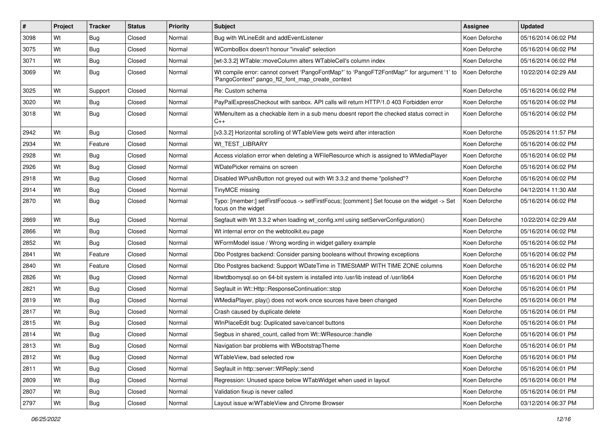| $\sharp$ | Project | <b>Tracker</b> | <b>Status</b> | Priority | <b>Subject</b>                                                                                                                                 | <b>Assignee</b> | <b>Updated</b>      |
|----------|---------|----------------|---------------|----------|------------------------------------------------------------------------------------------------------------------------------------------------|-----------------|---------------------|
| 3098     | Wt      | Bug            | Closed        | Normal   | Bug with WLineEdit and addEventListener                                                                                                        | Koen Deforche   | 05/16/2014 06:02 PM |
| 3075     | Wt      | <b>Bug</b>     | Closed        | Normal   | WComboBox doesn't honour "invalid" selection                                                                                                   | Koen Deforche   | 05/16/2014 06:02 PM |
| 3071     | Wt      | Bug            | Closed        | Normal   | [wt-3.3.2] WTable::moveColumn alters WTableCell's column index                                                                                 | Koen Deforche   | 05/16/2014 06:02 PM |
| 3069     | Wt      | <b>Bug</b>     | Closed        | Normal   | Wt compile error: cannot convert 'PangoFontMap*' to 'PangoFT2FontMap*' for argument '1' to<br>'PangoContext* pango_ft2_font_map_create_context | Koen Deforche   | 10/22/2014 02:29 AM |
| 3025     | Wt      | Support        | Closed        | Normal   | Re: Custom schema                                                                                                                              | Koen Deforche   | 05/16/2014 06:02 PM |
| 3020     | Wt      | <b>Bug</b>     | Closed        | Normal   | PayPalExpressCheckout with sanbox. API calls will return HTTP/1.0 403 Forbidden error                                                          | Koen Deforche   | 05/16/2014 06:02 PM |
| 3018     | Wt      | Bug            | Closed        | Normal   | WMenuItem as a checkable item in a sub menu doesnt report the checked status correct in<br>C++                                                 | Koen Deforche   | 05/16/2014 06:02 PM |
| 2942     | Wt      | <b>Bug</b>     | Closed        | Normal   | [v3.3.2] Horizontal scrolling of WTableView gets weird after interaction                                                                       | Koen Deforche   | 05/26/2014 11:57 PM |
| 2934     | Wt      | Feature        | Closed        | Normal   | Wt TEST LIBRARY                                                                                                                                | Koen Deforche   | 05/16/2014 06:02 PM |
| 2928     | Wt      | <b>Bug</b>     | Closed        | Normal   | Access violation error when deleting a WFileResource which is assigned to WMediaPlayer                                                         | Koen Deforche   | 05/16/2014 06:02 PM |
| 2926     | Wt      | Bug            | Closed        | Normal   | WDatePicker remains on screen                                                                                                                  | Koen Deforche   | 05/16/2014 06:02 PM |
| 2918     | Wt      | <b>Bug</b>     | Closed        | Normal   | Disabled WPushButton not greyed out with Wt 3.3.2 and theme "polished"?                                                                        | Koen Deforche   | 05/16/2014 06:02 PM |
| 2914     | Wt      | <b>Bug</b>     | Closed        | Normal   | TinyMCE missing                                                                                                                                | Koen Deforche   | 04/12/2014 11:30 AM |
| 2870     | Wt      | Bug            | Closed        | Normal   | Typo: [member:] setFirstFocous -> setFirstFocus; [comment:] Set focuse on the widget -> Set<br>focus on the widget                             | Koen Deforche   | 05/16/2014 06:02 PM |
| 2869     | Wt      | Bug            | Closed        | Normal   | Segfault with Wt 3.3.2 when loading wt_config.xml using setServerConfiguration()                                                               | Koen Deforche   | 10/22/2014 02:29 AM |
| 2866     | Wt      | <b>Bug</b>     | Closed        | Normal   | Wt internal error on the webtoolkit.eu page                                                                                                    | Koen Deforche   | 05/16/2014 06:02 PM |
| 2852     | Wt      | Bug            | Closed        | Normal   | WFormModel issue / Wrong wording in widget gallery example                                                                                     | Koen Deforche   | 05/16/2014 06:02 PM |
| 2841     | Wt      | Feature        | Closed        | Normal   | Dbo Postgres backend: Consider parsing booleans without throwing exceptions                                                                    | Koen Deforche   | 05/16/2014 06:02 PM |
| 2840     | Wt      | Feature        | Closed        | Normal   | Dbo Postgres backend: Support WDateTime in TIMEStAMP WITH TIME ZONE columns                                                                    | Koen Deforche   | 05/16/2014 06:02 PM |
| 2826     | Wt      | <b>Bug</b>     | Closed        | Normal   | libwtdbomysql.so on 64-bit system is installed into /usr/lib instead of /usr/lib64                                                             | Koen Deforche   | 05/16/2014 06:01 PM |
| 2821     | Wt      | Bug            | Closed        | Normal   | Segfault in Wt::Http::ResponseContinuation::stop                                                                                               | Koen Deforche   | 05/16/2014 06:01 PM |
| 2819     | Wt      | <b>Bug</b>     | Closed        | Normal   | WMediaPlayer, play() does not work once sources have been changed                                                                              | Koen Deforche   | 05/16/2014 06:01 PM |
| 2817     | Wt      | <b>Bug</b>     | Closed        | Normal   | Crash caused by duplicate delete                                                                                                               | Koen Deforche   | 05/16/2014 06:01 PM |
| 2815     | Wt      | Bug            | Closed        | Normal   | WInPlaceEdit bug: Duplicated save/cancel buttons                                                                                               | Koen Deforche   | 05/16/2014 06:01 PM |
| 2814     | Wt      | <b>Bug</b>     | Closed        | Normal   | Segbus in shared_count, called from Wt::WResource::handle                                                                                      | Koen Deforche   | 05/16/2014 06:01 PM |
| 2813     | Wt      | Bug            | Closed        | Normal   | Navigation bar problems with WBootstrapTheme                                                                                                   | Koen Deforche   | 05/16/2014 06:01 PM |
| 2812     | Wt      | Bug            | Closed        | Normal   | WTableView, bad selected row                                                                                                                   | Koen Deforche   | 05/16/2014 06:01 PM |
| 2811     | Wt      | Bug            | Closed        | Normal   | Segfault in http::server::WtReply::send                                                                                                        | Koen Deforche   | 05/16/2014 06:01 PM |
| 2809     | Wt      | Bug            | Closed        | Normal   | Regression: Unused space below WTabWidget when used in layout                                                                                  | Koen Deforche   | 05/16/2014 06:01 PM |
| 2807     | Wt      | Bug            | Closed        | Normal   | Validation fixup is never called                                                                                                               | Koen Deforche   | 05/16/2014 06:01 PM |
| 2797     | Wt      | <b>Bug</b>     | Closed        | Normal   | Layout issue w/WTableView and Chrome Browser                                                                                                   | Koen Deforche   | 03/12/2014 06:37 PM |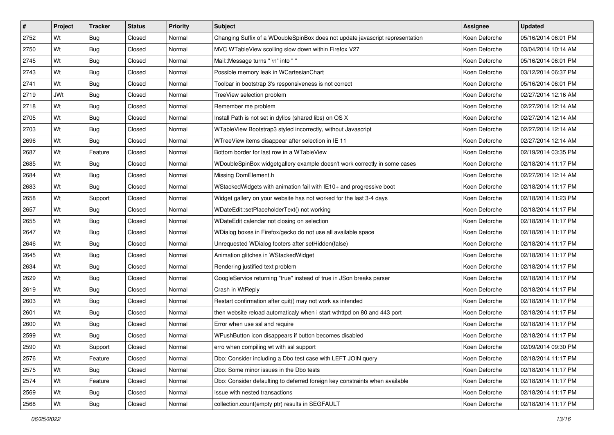| $\sharp$ | Project    | <b>Tracker</b> | <b>Status</b> | Priority | Subject                                                                       | <b>Assignee</b> | <b>Updated</b>      |
|----------|------------|----------------|---------------|----------|-------------------------------------------------------------------------------|-----------------|---------------------|
| 2752     | Wt         | <b>Bug</b>     | Closed        | Normal   | Changing Suffix of a WDoubleSpinBox does not update javascript representation | Koen Deforche   | 05/16/2014 06:01 PM |
| 2750     | Wt         | Bug            | Closed        | Normal   | MVC WTableView scolling slow down within Firefox V27                          | Koen Deforche   | 03/04/2014 10:14 AM |
| 2745     | Wt         | <b>Bug</b>     | Closed        | Normal   | Mail::Message turns " \n" into " "                                            | Koen Deforche   | 05/16/2014 06:01 PM |
| 2743     | Wt         | <b>Bug</b>     | Closed        | Normal   | Possible memory leak in WCartesianChart                                       | Koen Deforche   | 03/12/2014 06:37 PM |
| 2741     | Wt         | Bug            | Closed        | Normal   | Toolbar in bootstrap 3's responsiveness is not correct                        | Koen Deforche   | 05/16/2014 06:01 PM |
| 2719     | <b>JWt</b> | <b>Bug</b>     | Closed        | Normal   | TreeView selection problem                                                    | Koen Deforche   | 02/27/2014 12:16 AM |
| 2718     | Wt         | Bug            | Closed        | Normal   | Remember me problem                                                           | Koen Deforche   | 02/27/2014 12:14 AM |
| 2705     | Wt         | <b>Bug</b>     | Closed        | Normal   | Install Path is not set in dylibs (shared libs) on OS X                       | Koen Deforche   | 02/27/2014 12:14 AM |
| 2703     | Wt         | Bug            | Closed        | Normal   | WTableView Bootstrap3 styled incorrectly, without Javascript                  | Koen Deforche   | 02/27/2014 12:14 AM |
| 2696     | Wt         | <b>Bug</b>     | Closed        | Normal   | WTreeView items disappear after selection in IE 11                            | Koen Deforche   | 02/27/2014 12:14 AM |
| 2687     | Wt         | Feature        | Closed        | Normal   | Bottom border for last row in a WTableView                                    | Koen Deforche   | 02/19/2014 03:35 PM |
| 2685     | Wt         | <b>Bug</b>     | Closed        | Normal   | WDoubleSpinBox widgetgallery example doesn't work correctly in some cases     | Koen Deforche   | 02/18/2014 11:17 PM |
| 2684     | Wt         | Bug            | Closed        | Normal   | Missing DomElement.h                                                          | Koen Deforche   | 02/27/2014 12:14 AM |
| 2683     | Wt         | Bug            | Closed        | Normal   | WStackedWidgets with animation fail with IE10+ and progressive boot           | Koen Deforche   | 02/18/2014 11:17 PM |
| 2658     | Wt         | Support        | Closed        | Normal   | Widget gallery on your website has not worked for the last 3-4 days           | Koen Deforche   | 02/18/2014 11:23 PM |
| 2657     | Wt         | Bug            | Closed        | Normal   | WDateEdit::setPlaceholderText() not working                                   | Koen Deforche   | 02/18/2014 11:17 PM |
| 2655     | Wt         | <b>Bug</b>     | Closed        | Normal   | WDateEdit calendar not closing on selection                                   | Koen Deforche   | 02/18/2014 11:17 PM |
| 2647     | Wt         | Bug            | Closed        | Normal   | WDialog boxes in Firefox/gecko do not use all available space                 | Koen Deforche   | 02/18/2014 11:17 PM |
| 2646     | Wt         | <b>Bug</b>     | Closed        | Normal   | Unrequested WDialog footers after setHidden(false)                            | Koen Deforche   | 02/18/2014 11:17 PM |
| 2645     | Wt         | <b>Bug</b>     | Closed        | Normal   | Animation glitches in WStackedWidget                                          | Koen Deforche   | 02/18/2014 11:17 PM |
| 2634     | Wt         | <b>Bug</b>     | Closed        | Normal   | Rendering justified text problem                                              | Koen Deforche   | 02/18/2014 11:17 PM |
| 2629     | Wt         | Bug            | Closed        | Normal   | GoogleService returning "true" instead of true in JSon breaks parser          | Koen Deforche   | 02/18/2014 11:17 PM |
| 2619     | Wt         | Bug            | Closed        | Normal   | Crash in WtReply                                                              | Koen Deforche   | 02/18/2014 11:17 PM |
| 2603     | Wt         | Bug            | Closed        | Normal   | Restart confirmation after quit() may not work as intended                    | Koen Deforche   | 02/18/2014 11:17 PM |
| 2601     | Wt         | <b>Bug</b>     | Closed        | Normal   | then website reload automaticaly when i start wthttpd on 80 and 443 port      | Koen Deforche   | 02/18/2014 11:17 PM |
| 2600     | Wt         | <b>Bug</b>     | Closed        | Normal   | Error when use ssl and require                                                | Koen Deforche   | 02/18/2014 11:17 PM |
| 2599     | Wt         | <b>Bug</b>     | Closed        | Normal   | WPushButton icon disappears if button becomes disabled                        | Koen Deforche   | 02/18/2014 11:17 PM |
| 2590     | Wt         | Support        | Closed        | Normal   | erro when compiling wt with ssl support                                       | Koen Deforche   | 02/09/2014 09:30 PM |
| 2576     | Wt         | Feature        | Closed        | Normal   | Dbo: Consider including a Dbo test case with LEFT JOIN query                  | Koen Deforche   | 02/18/2014 11:17 PM |
| 2575     | Wt         | <b>Bug</b>     | Closed        | Normal   | Dbo: Some minor issues in the Dbo tests                                       | Koen Deforche   | 02/18/2014 11:17 PM |
| 2574     | Wt         | Feature        | Closed        | Normal   | Dbo: Consider defaulting to deferred foreign key constraints when available   | Koen Deforche   | 02/18/2014 11:17 PM |
| 2569     | Wt         | <b>Bug</b>     | Closed        | Normal   | Issue with nested transactions                                                | Koen Deforche   | 02/18/2014 11:17 PM |
| 2568     | Wt         | <b>Bug</b>     | Closed        | Normal   | collection.count(empty ptr) results in SEGFAULT                               | Koen Deforche   | 02/18/2014 11:17 PM |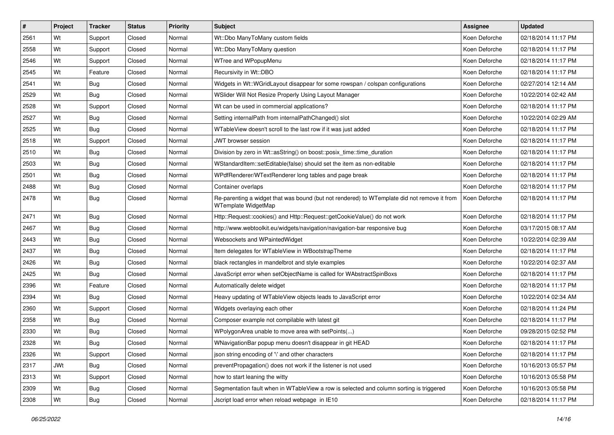| $\sharp$ | Project    | <b>Tracker</b> | <b>Status</b> | Priority | <b>Subject</b>                                                                                                     | <b>Assignee</b> | <b>Updated</b>      |
|----------|------------|----------------|---------------|----------|--------------------------------------------------------------------------------------------------------------------|-----------------|---------------------|
| 2561     | Wt         | Support        | Closed        | Normal   | Wt::Dbo ManyToMany custom fields                                                                                   | Koen Deforche   | 02/18/2014 11:17 PM |
| 2558     | Wt         | Support        | Closed        | Normal   | Wt::Dbo ManyToMany question                                                                                        | Koen Deforche   | 02/18/2014 11:17 PM |
| 2546     | Wt         | Support        | Closed        | Normal   | WTree and WPopupMenu                                                                                               | Koen Deforche   | 02/18/2014 11:17 PM |
| 2545     | Wt         | Feature        | Closed        | Normal   | Recursivity in Wt::DBO                                                                                             | Koen Deforche   | 02/18/2014 11:17 PM |
| 2541     | Wt         | <b>Bug</b>     | Closed        | Normal   | Widgets in Wt::WGridLayout disappear for some rowspan / colspan configurations                                     | Koen Deforche   | 02/27/2014 12:14 AM |
| 2529     | Wt         | Bug            | Closed        | Normal   | WSlider Will Not Resize Properly Using Layout Manager                                                              | Koen Deforche   | 10/22/2014 02:42 AM |
| 2528     | Wt         | Support        | Closed        | Normal   | Wt can be used in commercial applications?                                                                         | Koen Deforche   | 02/18/2014 11:17 PM |
| 2527     | Wt         | Bug            | Closed        | Normal   | Setting internalPath from internalPathChanged() slot                                                               | Koen Deforche   | 10/22/2014 02:29 AM |
| 2525     | Wt         | Bug            | Closed        | Normal   | WTableView doesn't scroll to the last row if it was just added                                                     | Koen Deforche   | 02/18/2014 11:17 PM |
| 2518     | Wt         | Support        | Closed        | Normal   | JWT browser session                                                                                                | Koen Deforche   | 02/18/2014 11:17 PM |
| 2510     | Wt         | Bug            | Closed        | Normal   | Division by zero in Wt::asString() on boost::posix_time::time_duration                                             | Koen Deforche   | 02/18/2014 11:17 PM |
| 2503     | Wt         | Bug            | Closed        | Normal   | WStandardItem::setEditable(false) should set the item as non-editable                                              | Koen Deforche   | 02/18/2014 11:17 PM |
| 2501     | Wt         | Bug            | Closed        | Normal   | WPdfRenderer/WTextRenderer long tables and page break                                                              | Koen Deforche   | 02/18/2014 11:17 PM |
| 2488     | Wt         | Bug            | Closed        | Normal   | Container overlaps                                                                                                 | Koen Deforche   | 02/18/2014 11:17 PM |
| 2478     | Wt         | <b>Bug</b>     | Closed        | Normal   | Re-parenting a widget that was bound (but not rendered) to WTemplate did not remove it from<br>WTemplate WidgetMap | Koen Deforche   | 02/18/2014 11:17 PM |
| 2471     | Wt         | <b>Bug</b>     | Closed        | Normal   | Http::Request::cookies() and Http::Request::getCookieValue() do not work                                           | Koen Deforche   | 02/18/2014 11:17 PM |
| 2467     | Wt         | Bug            | Closed        | Normal   | http://www.webtoolkit.eu/widgets/navigation/navigation-bar responsive bug                                          | Koen Deforche   | 03/17/2015 08:17 AM |
| 2443     | Wt         | <b>Bug</b>     | Closed        | Normal   | Websockets and WPaintedWidget                                                                                      | Koen Deforche   | 10/22/2014 02:39 AM |
| 2437     | Wt         | Bug            | Closed        | Normal   | Item delegates for WTableView in WBootstrapTheme                                                                   | Koen Deforche   | 02/18/2014 11:17 PM |
| 2426     | Wt         | <b>Bug</b>     | Closed        | Normal   | black rectangles in mandelbrot and style examples                                                                  | Koen Deforche   | 10/22/2014 02:37 AM |
| 2425     | Wt         | Bug            | Closed        | Normal   | JavaScript error when setObjectName is called for WAbstractSpinBoxs                                                | Koen Deforche   | 02/18/2014 11:17 PM |
| 2396     | Wt         | Feature        | Closed        | Normal   | Automatically delete widget                                                                                        | Koen Deforche   | 02/18/2014 11:17 PM |
| 2394     | Wt         | Bug            | Closed        | Normal   | Heavy updating of WTableView objects leads to JavaScript error                                                     | Koen Deforche   | 10/22/2014 02:34 AM |
| 2360     | Wt         | Support        | Closed        | Normal   | Widgets overlaying each other                                                                                      | Koen Deforche   | 02/18/2014 11:24 PM |
| 2358     | Wt         | <b>Bug</b>     | Closed        | Normal   | Composer example not compilable with latest git                                                                    | Koen Deforche   | 02/18/2014 11:17 PM |
| 2330     | Wt         | <b>Bug</b>     | Closed        | Normal   | WPolygonArea unable to move area with setPoints()                                                                  | Koen Deforche   | 09/28/2015 02:52 PM |
| 2328     | Wt         | <b>Bug</b>     | Closed        | Normal   | WNavigationBar popup menu doesn't disappear in git HEAD                                                            | Koen Deforche   | 02/18/2014 11:17 PM |
| 2326     | Wt         | Support        | Closed        | Normal   | ison string encoding of '\' and other characters                                                                   | Koen Deforche   | 02/18/2014 11:17 PM |
| 2317     | <b>JWt</b> | <b>Bug</b>     | Closed        | Normal   | preventPropagation() does not work if the listener is not used                                                     | Koen Deforche   | 10/16/2013 05:57 PM |
| 2313     | Wt         | Support        | Closed        | Normal   | how to start leaning the witty                                                                                     | Koen Deforche   | 10/16/2013 05:58 PM |
| 2309     | Wt         | <b>Bug</b>     | Closed        | Normal   | Segmentation fault when in WTableView a row is selected and column sorting is triggered                            | Koen Deforche   | 10/16/2013 05:58 PM |
| 2308     | Wt         | <b>Bug</b>     | Closed        | Normal   | Jscript load error when reload webpage in IE10                                                                     | Koen Deforche   | 02/18/2014 11:17 PM |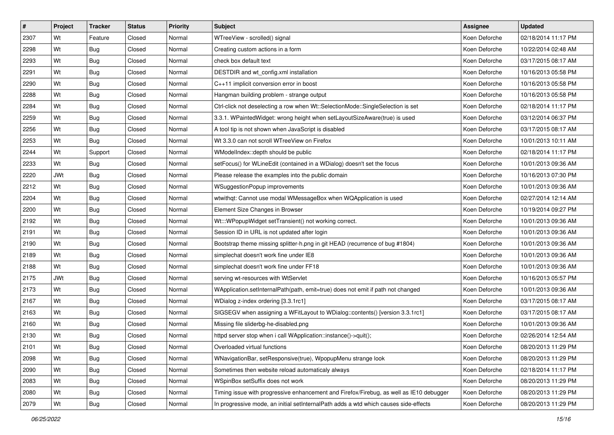| $\sharp$ | Project    | <b>Tracker</b> | <b>Status</b> | Priority | <b>Subject</b>                                                                          | Assignee      | <b>Updated</b>      |
|----------|------------|----------------|---------------|----------|-----------------------------------------------------------------------------------------|---------------|---------------------|
| 2307     | Wt         | Feature        | Closed        | Normal   | WTreeView - scrolled() signal                                                           | Koen Deforche | 02/18/2014 11:17 PM |
| 2298     | Wt         | Bug            | Closed        | Normal   | Creating custom actions in a form                                                       | Koen Deforche | 10/22/2014 02:48 AM |
| 2293     | Wt         | Bug            | Closed        | Normal   | check box default text                                                                  | Koen Deforche | 03/17/2015 08:17 AM |
| 2291     | Wt         | Bug            | Closed        | Normal   | DESTDIR and wt_config.xml installation                                                  | Koen Deforche | 10/16/2013 05:58 PM |
| 2290     | Wt         | Bug            | Closed        | Normal   | C++11 implicit conversion error in boost                                                | Koen Deforche | 10/16/2013 05:58 PM |
| 2288     | Wt         | <b>Bug</b>     | Closed        | Normal   | Hangman building problem - strange output                                               | Koen Deforche | 10/16/2013 05:58 PM |
| 2284     | Wt         | Bug            | Closed        | Normal   | Ctrl-click not deselecting a row when Wt::SelectionMode::SingleSelection is set         | Koen Deforche | 02/18/2014 11:17 PM |
| 2259     | Wt         | Bug            | Closed        | Normal   | 3.3.1. WPaintedWidget: wrong height when setLayoutSizeAware(true) is used               | Koen Deforche | 03/12/2014 06:37 PM |
| 2256     | Wt         | Bug            | Closed        | Normal   | A tool tip is not shown when JavaScript is disabled                                     | Koen Deforche | 03/17/2015 08:17 AM |
| 2253     | Wt         | Bug            | Closed        | Normal   | Wt 3.3.0 can not scroll WTreeView on Firefox                                            | Koen Deforche | 10/01/2013 10:11 AM |
| 2244     | Wt         | Support        | Closed        | Normal   | WModelIndex:: depth should be public                                                    | Koen Deforche | 02/18/2014 11:17 PM |
| 2233     | Wt         | <b>Bug</b>     | Closed        | Normal   | setFocus() for WLineEdit (contained in a WDialog) doesn't set the focus                 | Koen Deforche | 10/01/2013 09:36 AM |
| 2220     | <b>JWt</b> | Bug            | Closed        | Normal   | Please release the examples into the public domain                                      | Koen Deforche | 10/16/2013 07:30 PM |
| 2212     | Wt         | Bug            | Closed        | Normal   | WSuggestionPopup improvements                                                           | Koen Deforche | 10/01/2013 09:36 AM |
| 2204     | Wt         | <b>Bug</b>     | Closed        | Normal   | wtwithqt: Cannot use modal WMessageBox when WQApplication is used                       | Koen Deforche | 02/27/2014 12:14 AM |
| 2200     | Wt         | <b>Bug</b>     | Closed        | Normal   | Element Size Changes in Browser                                                         | Koen Deforche | 10/19/2014 09:27 PM |
| 2192     | Wt         | Bug            | Closed        | Normal   | Wt:::WPopupWidget setTransient() not working correct.                                   | Koen Deforche | 10/01/2013 09:36 AM |
| 2191     | Wt         | Bug            | Closed        | Normal   | Session ID in URL is not updated after login                                            | Koen Deforche | 10/01/2013 09:36 AM |
| 2190     | Wt         | <b>Bug</b>     | Closed        | Normal   | Bootstrap theme missing splitter-h.png in git HEAD (recurrence of bug #1804)            | Koen Deforche | 10/01/2013 09:36 AM |
| 2189     | Wt         | <b>Bug</b>     | Closed        | Normal   | simplechat doesn't work fine under IE8                                                  | Koen Deforche | 10/01/2013 09:36 AM |
| 2188     | Wt         | Bug            | Closed        | Normal   | simplechat doesn't work fine under FF18                                                 | Koen Deforche | 10/01/2013 09:36 AM |
| 2175     | <b>JWt</b> | Bug            | Closed        | Normal   | serving wt-resources with WtServlet                                                     | Koen Deforche | 10/16/2013 05:57 PM |
| 2173     | Wt         | Bug            | Closed        | Normal   | WApplication.setInternalPath(path, emit=true) does not emit if path not changed         | Koen Deforche | 10/01/2013 09:36 AM |
| 2167     | Wt         | Bug            | Closed        | Normal   | WDialog z-index ordering [3.3.1rc1]                                                     | Koen Deforche | 03/17/2015 08:17 AM |
| 2163     | Wt         | Bug            | Closed        | Normal   | SIGSEGV when assigning a WFitLayout to WDialog::contents() [version 3.3.1rc1]           | Koen Deforche | 03/17/2015 08:17 AM |
| 2160     | Wt         | <b>Bug</b>     | Closed        | Normal   | Missing file sliderbg-he-disabled.png                                                   | Koen Deforche | 10/01/2013 09:36 AM |
| 2130     | Wt         | Bug            | Closed        | Normal   | httpd server stop when i call WApplication::instance()->quit();                         | Koen Deforche | 02/26/2014 12:54 AM |
| 2101     | Wt         | Bug            | Closed        | Normal   | Overloaded virtual functions                                                            | Koen Deforche | 08/20/2013 11:29 PM |
| 2098     | Wt         | Bug            | Closed        | Normal   | WNavigationBar, setResponsive(true), WpopupMenu strange look                            | Koen Deforche | 08/20/2013 11:29 PM |
| 2090     | Wt         | <b>Bug</b>     | Closed        | Normal   | Sometimes then website reload automaticaly always                                       | Koen Deforche | 02/18/2014 11:17 PM |
| 2083     | Wt         | <b>Bug</b>     | Closed        | Normal   | WSpinBox setSuffix does not work                                                        | Koen Deforche | 08/20/2013 11:29 PM |
| 2080     | Wt         | <b>Bug</b>     | Closed        | Normal   | Timing issue with progressive enhancement and Firefox/Firebug, as well as IE10 debugger | Koen Deforche | 08/20/2013 11:29 PM |
| 2079     | Wt         | <b>Bug</b>     | Closed        | Normal   | In progressive mode, an initial setInternalPath adds a wtd which causes side-effects    | Koen Deforche | 08/20/2013 11:29 PM |